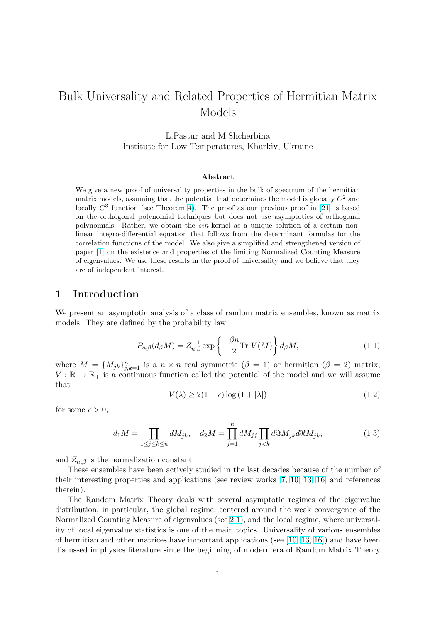# <span id="page-0-0"></span>Bulk Universality and Related Properties of Hermitian Matrix Models

L.Pastur and M.Shcherbina Institute for Low Temperatures, Kharkiv, Ukraine

#### Abstract

We give a new proof of universality properties in the bulk of spectrum of the hermitian matrix models, assuming that the potential that determines the model is globally  $C^2$  and locally  $C^3$  function (see Theorem 4). The proof as our previous proof in [21] is based on the orthogonal polynomial techniques but does not use asymptotics of orthogonal polynomials. Rather, we obtain the sin-kernel as a unique solution of a certain nonlinear integro-differential equation that follows from the determinant formulas for the correlation functions of the model. [W](#page-23-0)e also give a simplified and strengthen[ed v](#page-41-0)ersion of paper [1] on the existence and properties of the limiting Normalized Counting Measure of eigenvalues. We use these results in the proof of universality and we believe that they are of independent interest.

## 1 Intr[od](#page-40-0)uction

We present an asymptotic analysis of a class of random matrix ensembles, known as matrix models. They are defined by the probability law

$$
P_{n,\beta}(d_{\beta}M) = Z_{n,\beta}^{-1} \exp\left\{-\frac{\beta n}{2} \text{Tr } V(M)\right\} d_{\beta}M,\tag{1.1}
$$

where  $M = \{M_{jk}\}_{j,k=1}^n$  is a  $n \times n$  real symmetric  $(\beta = 1)$  or hermitian  $(\beta = 2)$  matrix,  $V : \mathbb{R} \to \mathbb{R}_+$  is a continuous function called the potential of the model and we will assume that

$$
V(\lambda) \ge 2(1+\epsilon)\log\left(1+|\lambda|\right) \tag{1.2}
$$

for some  $\epsilon > 0$ ,

$$
d_1M = \prod_{1 \le j \le k \le n} dM_{jk}, \quad d_2M = \prod_{j=1}^n dM_{jj} \prod_{j < k} d\Im M_{jk} d\Re M_{jk}, \tag{1.3}
$$

and  $Z_{n,\beta}$  is the normalization constant.

These ensembles have been actively studied in the last decades because of the number of their interesting properties and applications (see review works [7, 10, 13, 16] and references therein).

The Random Matrix Theory deals with several asymptotic regimes of the eigenvalue distribution, in particular, the global regime, centered around the weak convergence of the Normalized Counting Measure of eigenvalues (see 2.1), and thel[ocal regim](#page-40-0)[e, w](#page-41-0)here universality of local eigenvalue statistics is one of the main topics. Universality of various ensembles of hermitian and other matrices have important applications (see [10, 13, 16]) and have been discussed in physics literature since the beginnin[g of](#page-1-0) modern era of Random Matrix Theory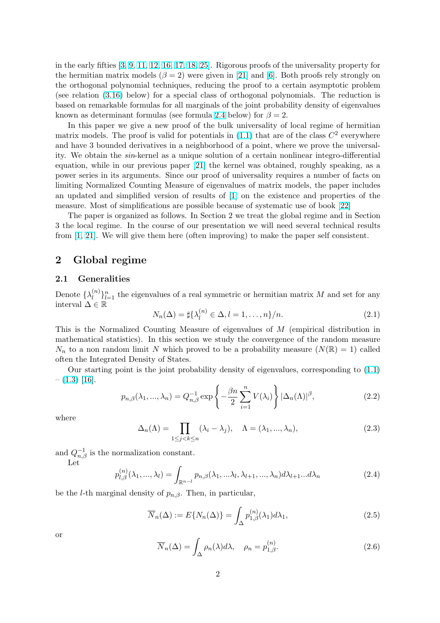<span id="page-1-0"></span>in the early fifties [3, 9, 11, 12, 16, 17, 18, 25]. Rigorous proofs of the universality property for the hermitian matrix models  $(\beta = 2)$  were given in [21] and [6]. Both proofs rely strongly on the orthogonal polynomial techniques, reducing the proof to a certain asymptotic problem (see relation (3.16) below) for a special class of orthogonal polynomials. The reduction is based on remarka[ble formulas](#page-40-0) [for all margin](#page-41-0)als of the joint probability density of eigenvalues known as determinant formulas (see formula 2.4 be[low](#page-41-0)) for  $\beta = 2$ .

In this paper we give a new proof of the bulk universality of local regime of hermitian matrix model[s. Th](#page-25-0)e proof is valid for potentials in  $(1.1)$  that are of the class  $C<sup>2</sup>$  everywhere and have 3 bounded derivatives in a neighborhood of a point, where we prove the universality. We obtain the sin-kernel as a unique solution of a certain nonlinear integro-differential equation, while in our previous paper [21] the kernel was obtained, roughly speaking, as a power series in its arguments. Since our proof of u[nive](#page-0-0)rsality requires a number of facts on limiting Normalized Counting Measure of eigenvalues of matrix models, the paper includes an updated and simplified version of results of [1] on the existence and properties of the measure. Most of simplifications are p[ossib](#page-41-0)le because of systematic use of book [22]

The paper is organized as follows. In Section 2 we treat the global regime and in Section 3 the local regime. In the course of our presentation we will need several technical results from [1, 21]. We will give them here (often impro[vi](#page-40-0)ng) to make the paper self c[onsi](#page-41-0)stent.

# 2 Global regime

#### 2.1 [G](#page-40-0)[en](#page-41-0)eralities

Denote  $\{\lambda_l^{(n)}\}$  $\binom{n}{l}_{l=1}^n$  the eigenvalues of a real symmetric or hermitian matrix M and set for any interval  $\Delta \in \mathbb{R}$ 

$$
N_n(\Delta) = \sharp \{ \lambda_l^{(n)} \in \Delta, l = 1, \dots, n \} / n. \tag{2.1}
$$

This is the Normalized Counting Measure of eigenvalues of M (empirical distribution in mathematical statistics). In this section we study the convergence of the random measure  $N_n$  to a non random limit N which proved to be a probability measure  $(N(\mathbb{R}) = 1)$  called often the Integrated Density of States.

Our starting point is the joint probability density of eigenvalues, corresponding to (1.1)  $- (1.3)$  [16].  $\mathbf{r}$ 

$$
p_{n,\beta}(\lambda_1, ..., \lambda_n) = Q_{n,\beta}^{-1} \exp\left\{-\frac{\beta n}{2} \sum_{i=1}^n V(\lambda_i)\right\} |\Delta_n(\Lambda)|^\beta,
$$
\n(2.2)

w[here](#page-0-0)

$$
\Delta_n(\Lambda) = \prod_{1 \le j < k \le n} (\lambda_i - \lambda_j), \quad \Lambda = (\lambda_1, ..., \lambda_n), \tag{2.3}
$$

and  $Q_{n,\beta}^{-1}$  is the normalization constant.

Let

$$
p_{l,\beta}^{(n)}(\lambda_1,\ldots,\lambda_l) = \int_{\mathbb{R}^{n-l}} p_{n,\beta}(\lambda_1,\ldots,\lambda_l,\lambda_{l+1},\ldots,\lambda_n) d\lambda_{l+1}\ldots d\lambda_n
$$
\n(2.4)

be the *l*-th marginal density of  $p_{n,\beta}$ . Then, in particular,

$$
\overline{N}_n(\Delta) := E\{N_n(\Delta)\} = \int_{\Delta} p_{1,\beta}^{(n)}(\lambda_1) d\lambda_1,\tag{2.5}
$$

or

$$
\overline{N}_n(\Delta) = \int_{\Delta} \rho_n(\lambda) d\lambda, \quad \rho_n = p_{1,\beta}^{(n)}.
$$
\n(2.6)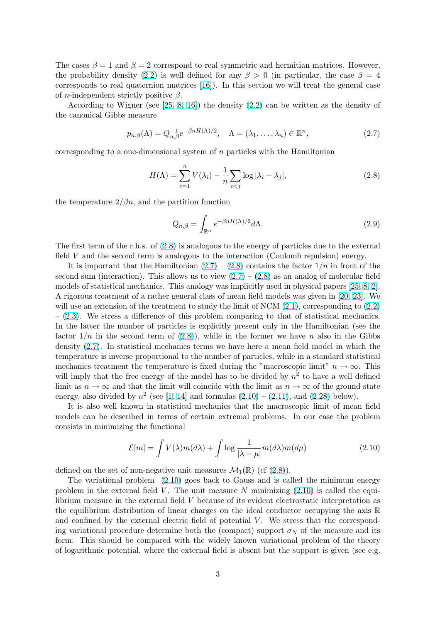<span id="page-2-0"></span>The cases  $\beta = 1$  and  $\beta = 2$  correspond to real symmetric and hermitian matrices. However, the probability density (2.2) is well defined for any  $\beta > 0$  (in particular, the case  $\beta = 4$ corresponds to real quaternion matrices [16]). In this section we will treat the general case of *n*-independent strictly positive  $\beta$ .

According to Wigner (see [25, 8, 16]) the density (2.2) can be written as the density of the canonical Gibbs mea[sure](#page-1-0)

$$
p_{n,\beta}(\Lambda) = Q_{n,\beta}^{-1} e^{-\beta n H(\Lambda)/2}, \quad \Lambda = (\lambda_1, \dots, \lambda_n) \in \mathbb{R}^n,
$$
\n(2.7)

corresponding to a one-dimensional system of  $n$  particles with the Hamiltonian

$$
H(\Lambda) = \sum_{i=1}^{n} V(\lambda_i) - \frac{1}{n} \sum_{i < j} \log |\lambda_i - \lambda_j|,\tag{2.8}
$$

the temperature  $2/\beta n$ , and the partition function

$$
Q_{n,\beta} = \int_{\mathbb{R}^n} e^{-\beta n H(\Lambda)/2} d\Lambda.
$$
 (2.9)

The first term of the r.h.s. of (2.8) is analogous to the energy of particles due to the external field V and the second term is analogous to the interaction (Coulomb repulsion) energy.

It is important that the Hamiltonian  $(2.7) - (2.8)$  contains the factor  $1/n$  in front of the second sum (interaction). This allows us to view  $(2.7) - (2.8)$  as an analog of molecular field models of statistical mechanics. This analogy was implicitly used in physical papers [25, 8, 2]. A rigorous treatment of a rather general class of mean field models was given in [20, 23]. We will use an extension of the treatment to study the limit of NCM  $(2.1)$ , corresponding to  $(2.2)$  $-$  (2.3). We stress a difference of this problem comparing to that of statistical mechanics. In the latter the number of particles is explicitly present only in the Hamiltonian [\(se](#page-41-0)[e th](#page-40-0)e factor $1/n$  in the second term of  $(2.8)$ , while in the former we have n also i[n the G](#page-41-0)ibbs density (2.7). In statistical mechanics terms we have here a me[an fi](#page-1-0)eld model in which [the](#page-1-0) te[mpe](#page-1-0)rature is inverse proportional to the number of particles, while in a standard statistical mechanics treatment the temperature is fixed during the "macroscopic limit"  $n \to \infty$ . This will imply that the free energy of the model has to be divided by  $n^2$  to have a well defined limit as  $n \to \infty$  and that the limit will coincide with the limit as  $n \to \infty$  of the ground state energy, also divided by  $n^2$  (see [1, 14] and formulas  $(2.10) - (2.11)$ , and  $(2.28)$  below).

It is also well known in statistical mechanics that the macroscopic limit of mean field models can be described in terms of certain extremal problems. In our case the problem consists in minimizing the func[tional](#page-40-0)

$$
\mathcal{E}[m] = \int V(\lambda)m(d\lambda) + \int \log \frac{1}{|\lambda - \mu|} m(d\lambda)m(d\mu)
$$
 (2.10)

defined on the set of non-negative unit measures  $\mathcal{M}_1(\mathbb{R})$  (cf (2.8)).

The variational problem (2.10) goes back to Gauss and is called the minimum energy problem in the external field V. The unit measure N minimizing  $(2.10)$  is called the equilibrium measure in the external field V because of its evident electrostatic interpretation as the equilibrium distribution of linear charges on the ideal conductor occupying the axis  $\mathbb R$ and confined by the external electric field of potential  $V$ . We stress that the corresponding variational procedure determine both the (compact) support  $\sigma_N$  of the measure and its form. This should be compared with the widely known variational problem of the theory of logarithmic potential, where the external field is absent but the support is given (see e.g.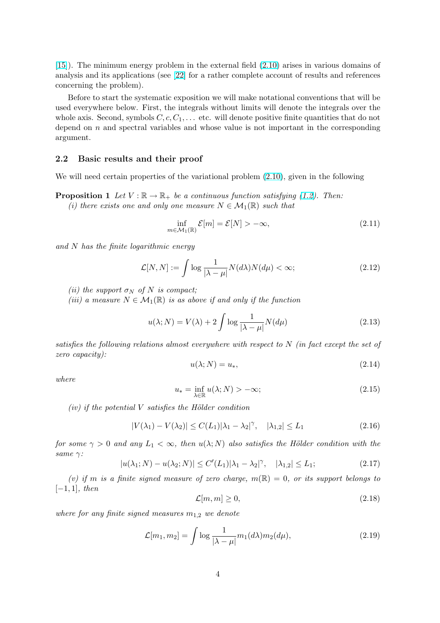<span id="page-3-0"></span>[15]). The minimum energy problem in the external field (2.10) arises in various domains of analysis and its applications (see [22] for a rather complete account of results and references concerning the problem).

Before to start the systematic exposition we will make [notat](#page-2-0)ional conventions that will be [use](#page-41-0)d everywhere below. First, th[e in](#page-41-0)tegrals without limits will denote the integrals over the whole axis. Second, symbols  $C, c, C_1, \ldots$  etc. will denote positive finite quantities that do not depend on  $n$  and spectral variables and whose value is not important in the corresponding argument.

### 2.2 Basic results and their proof

We will need certain properties of the variational problem  $(2.10)$ , given in the following

**Proposition 1** Let  $V : \mathbb{R} \to \mathbb{R}_+$  be a continuous function satisfying (1.2). Then:

(i) there exists one and only one measure  $N \in \mathcal{M}_1(\mathbb{R})$  such that

$$
\inf_{m \in \mathcal{M}_1(\mathbb{R})} \mathcal{E}[m] = \mathcal{E}[N] > -\infty,
$$
\n(2.11)

and N has the finite logarithmic energy

$$
\mathcal{L}[N,N] := \int \log \frac{1}{|\lambda - \mu|} N(d\lambda) N(d\mu) < \infty;\tag{2.12}
$$

(ii) the support  $\sigma_N$  of N is compact;

(iii) a measure  $N \in \mathcal{M}_1(\mathbb{R})$  is as above if and only if the function

$$
u(\lambda; N) = V(\lambda) + 2 \int \log \frac{1}{|\lambda - \mu|} N(d\mu)
$$
\n(2.13)

satisfies the following relations almost everywhere with respect to  $N$  (in fact except the set of zero capacity):

$$
u(\lambda; N) = u_*,\tag{2.14}
$$

where

$$
u_* = \inf_{\lambda \in \mathbb{R}} u(\lambda; N) > -\infty;
$$
\n(2.15)

 $(iv)$  if the potential V satisfies the Hölder condition

$$
|V(\lambda_1) - V(\lambda_2)| \le C(L_1)|\lambda_1 - \lambda_2|^\gamma, \quad |\lambda_{1,2}| \le L_1
$$
\n(2.16)

for some  $\gamma > 0$  and any  $L_1 < \infty$ , then  $u(\lambda; N)$  also satisfies the Hölder condition with the same  $\gamma$ :

$$
|u(\lambda_1; N) - u(\lambda_2; N)| \le C'(L_1) |\lambda_1 - \lambda_2|^\gamma, \quad |\lambda_{1,2}| \le L_1; \tag{2.17}
$$

(v) if m is a finite signed measure of zero charge,  $m(\mathbb{R}) = 0$ , or its support belongs to  $[-1, 1]$ , then

$$
\mathcal{L}[m, m] \ge 0,\tag{2.18}
$$

where for any finite signed measures  $m_{1,2}$  we denote

$$
\mathcal{L}[m_1, m_2] = \int \log \frac{1}{|\lambda - \mu|} m_1(d\lambda) m_2(d\mu), \qquad (2.19)
$$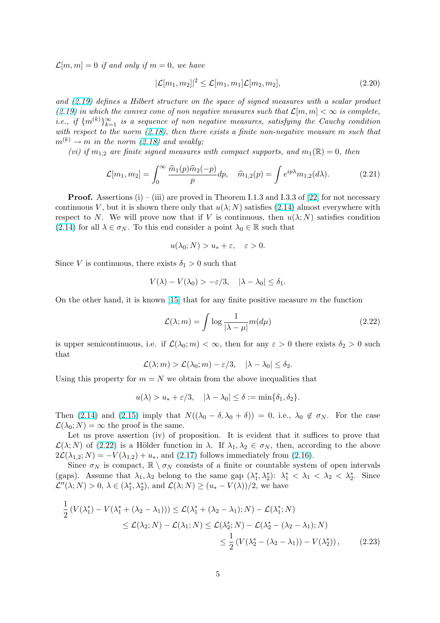<span id="page-4-0"></span> $\mathcal{L}[m,m] = 0$  if and only if  $m = 0$ , we have

$$
|\mathcal{L}[m_1, m_2]|^2 \le \mathcal{L}[m_1, m_1] \mathcal{L}[m_2, m_2],\tag{2.20}
$$

and (2.19) defines a Hilbert structure on the space of signed measures with a scalar product (2.19) in which the convex cone of non negative measures such that  $\mathcal{L}[m,m] < \infty$  is complete, i.e., if  $\{m^{(k)}\}_{k=1}^{\infty}$  is a sequence of non negative measures, satisfying the Cauchy condition with respect to the norm  $(2.18)$ , then there exists a finite non-negative measure m such that  $m^{(k)} \rightarrow m$  in the norm (2.18) and weakly;

[\(v](#page-3-0)i) if  $m_{1,2}$  are finite signed measures with compact supports, and  $m_1(\mathbb{R}) = 0$ , then

$$
\mathcal{L}[m_1, m_2] = \int_0^\infty \frac{\hat{m}_1(p)\hat{m}_2(-p)}{p} dp, \quad \hat{m}_{1,2}(p) = \int e^{ip\lambda} m_{1,2}(d\lambda). \tag{2.21}
$$

**Proof.** Assertions (i) – (iii) are proved in Theorem I.1.3 and I.3.3 of [22] for not necessary continuous V, but it is shown there only that  $u(\lambda; N)$  satisfies (2.14) almost everywhere with respect to N. We will prove now that if V is continuous, then  $u(\lambda; N)$  satisfies condition  $(2.14)$  for all  $\lambda \in \sigma_N$ . To this end consider a point  $\lambda_0 \in \mathbb{R}$  such that

$$
u(\lambda_0; N) > u_* + \varepsilon, \quad \varepsilon > 0.
$$

[Since](#page-3-0) V is continuous, there exists  $\delta_1 > 0$  such that

$$
V(\lambda) - V(\lambda_0) > -\varepsilon/3, \quad |\lambda - \lambda_0| \le \delta_1.
$$

On the other hand, it is known [15] that for any finite positive measure  $m$  the function

$$
\mathcal{L}(\lambda; m) = \int \log \frac{1}{|\lambda - \mu|} m(d\mu)
$$
\n(2.22)

is upper semicontinuous, i.e. if  $\mathcal{L}(\lambda_0; m) < \infty$  $\mathcal{L}(\lambda_0; m) < \infty$  $\mathcal{L}(\lambda_0; m) < \infty$ , then for any  $\varepsilon > 0$  there exists  $\delta_2 > 0$  such that

$$
\mathcal{L}(\lambda; m) > \mathcal{L}(\lambda_0; m) - \varepsilon/3, \quad |\lambda - \lambda_0| \le \delta_2.
$$

Using this property for  $m = N$  we obtain from the above inequalities that

$$
u(\lambda) > u_* + \varepsilon/3, \quad |\lambda - \lambda_0| \le \delta := \min{\delta_1, \delta_2}.
$$

Then (2.14) and (2.15) imply that  $N((\lambda_0 - \delta, \lambda_0 + \delta)) = 0$ , i.e.,  $\lambda_0 \notin \sigma_N$ . For the case  $\mathcal{L}(\lambda_0; N) = \infty$  the proof is the same.

Let us prove assertion (iv) of proposition. It is evident that it suffices to prove that  $\mathcal{L}(\lambda; N)$  of (2.22) is a Hölder function in  $\lambda$ . If  $\lambda_1, \lambda_2 \in \sigma_N$ , then, according to the above  $2\mathcal{L}(\lambda_{1,2}; N) = -V(\lambda_{1,2}) + u_*$  $2\mathcal{L}(\lambda_{1,2}; N) = -V(\lambda_{1,2}) + u_*$  $2\mathcal{L}(\lambda_{1,2}; N) = -V(\lambda_{1,2}) + u_*$ , and (2.17) follows immediately from (2.16).

Since  $\sigma_N$  is compact,  $\mathbb{R} \setminus \sigma_N$  consists of a finite or countable system of open intervals (gaps). Assume that  $\lambda_1, \lambda_2$  belong to the same gap  $(\lambda_1^*, \lambda_2^*)$ :  $\lambda_1^* < \lambda_1 < \lambda_2 < \lambda_2^*$ . Since  $\mathcal{L}''(\lambda; N) > 0, \, \lambda \in (\lambda_1^*, \lambda_2^*), \text{ and } \mathcal{L}(\lambda; N) \geq (u_* - V(\lambda))/2, \text{ we have}$  $\mathcal{L}''(\lambda; N) > 0, \, \lambda \in (\lambda_1^*, \lambda_2^*), \text{ and } \mathcal{L}(\lambda; N) \geq (u_* - V(\lambda))/2, \text{ we have}$  $\mathcal{L}''(\lambda; N) > 0, \, \lambda \in (\lambda_1^*, \lambda_2^*), \text{ and } \mathcal{L}(\lambda; N) \geq (u_* - V(\lambda))/2, \text{ we have}$ 

$$
\frac{1}{2} \left( V(\lambda_1^*) - V(\lambda_1^* + (\lambda_2 - \lambda_1)) \right) \le \mathcal{L}(\lambda_1^* + (\lambda_2 - \lambda_1); N) - \mathcal{L}(\lambda_1^*; N)
$$
\n
$$
\le \mathcal{L}(\lambda_2; N) - \mathcal{L}(\lambda_1; N) \le \mathcal{L}(\lambda_2^*; N) - \mathcal{L}(\lambda_2^* - (\lambda_2 - \lambda_1); N)
$$
\n
$$
\le \frac{1}{2} \left( V(\lambda_2^* - (\lambda_2 - \lambda_1)) - V(\lambda_2^*) \right), \tag{2.23}
$$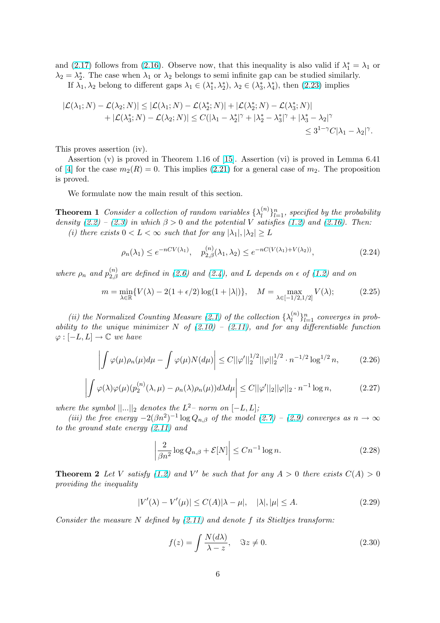<span id="page-5-0"></span>and (2.17) follows from (2.16). Observe now, that this inequality is also valid if  $\lambda_1^* = \lambda_1$  or  $\lambda_2 = \lambda_2^*$ . The case when  $\lambda_1$  or  $\lambda_2$  belongs to semi-infinite gap can be studied similarly. If  $\lambda_1, \lambda_2$  belong to different gaps  $\lambda_1 \in (\lambda_1^*, \lambda_2^*), \lambda_2 \in (\lambda_3^*, \lambda_4^*)$ , then  $(2.23)$  implies

$$
\begin{aligned} |\mathcal{L}(\lambda_1; N) - \mathcal{L}(\lambda_2; N)| &\leq |\mathcal{L}(\lambda_1; N) - \mathcal{L}(\lambda_2^*; N)| + |\mathcal{L}(\lambda_2^*; N) - \mathcal{L}(\lambda_3^*; N)| \\ &+ |\mathcal{L}(\lambda_3^*; N) - \mathcal{L}(\lambda_2; N)| \leq C(|\lambda_1 - \lambda_2^*|^\gamma + |\lambda_2^* - \lambda_3^*|^\gamma + |\lambda_3^* - \lambda_2|^\gamma \\ &\leq 3^{1-\gamma} C |\lambda_1 - \lambda_2|^\gamma. \end{aligned}
$$

This proves assertion (iv).

Assertion (v) is proved in Theorem 1.16 of [15]. Assertion (vi) is proved in Lemma 6.41 of [4] for the case  $m_2(R) = 0$ . This implies (2.21) for a general case of  $m_2$ . The proposition is proved.

We formulate now the main result of this se[ctio](#page-41-0)n.

**T[heo](#page-40-0)rem 1** Consider a collection of rando[m var](#page-4-0)iables  $\{\lambda_l^{(n)}\}$  $\{a^{(n)}\}_{l=1}^n$ , specified by the probability density (2.2) – (2.3) in which  $\beta > 0$  and the potential V satisfies (1.2) and (2.16). Then: (i) there exists  $0 < L < \infty$  such that for any  $|\lambda_1|, |\lambda_2| \geq L$ 

$$
\rho_n(\lambda_1) \le e^{-nCV(\lambda_1)}, \quad p_{2,\beta}^{(n)}(\lambda_1, \lambda_2) \le e^{-nC(V(\lambda_1) + V(\lambda_2))},\tag{2.24}
$$

where  $\rho_n$  and  $p_{2,\beta}^{(n)}$  are defined in (2.6) and (2.4), and L depends on  $\epsilon$  of (1.2) and on

$$
m = \min_{\lambda \in \mathbb{R}} \{ V(\lambda) - 2(1 + \epsilon/2) \log(1 + |\lambda|) \}, \quad M = \max_{\lambda \in [-1/2, 1/2]} V(\lambda); \tag{2.25}
$$

(ii) the Normalized Counting [Mea](#page-1-0)sure ([2.1\)](#page-1-0) of the collection  $\{\lambda_i^{(n)}\}$  $\{a_i^{(n)}\}_{l=1}^n$  [con](#page-0-0)verges in probability to the unique minimizer N of  $(2.10)$  –  $(2.11)$ , and for any differentiable function  $\varphi : [-L, L] \to \mathbb{C}$  we have

$$
\left| \int \varphi(\mu)\rho_n(\mu)d\mu - \int \varphi(\mu)N(d\mu) \right| \le C ||\varphi'||_2^{1/2} ||\varphi||_2^{1/2} \cdot n^{-1/2} \log^{1/2} n, \tag{2.26}
$$

$$
\left| \int \varphi(\lambda)\varphi(\mu)(p_2^{(n)}(\lambda,\mu) - \rho_n(\lambda)\rho_n(\mu))d\lambda d\mu \right| \le C ||\varphi'||_2 ||\varphi||_2 \cdot n^{-1} \log n, \tag{2.27}
$$

where the symbol  $||...||_2$  denotes the  $L^2$ - norm on  $[-L, L]$ ;

(iii) the free energy  $-2(\beta n^2)^{-1} \log Q_{n,\beta}$  of the model (2.7) – (2.9) converges as  $n \to \infty$ to the ground state energy (2.11) and

$$
\left|\frac{2}{\beta n^2}\log Q_{n,\beta} + \mathcal{E}[N]\right| \le Cn^{-1}\log n.
$$
\n(2.28)

**Theorem 2** Let V satisfy (1.2) and V' be such that for any  $A > 0$  there exists  $C(A) > 0$ providing the inequality

$$
|V'(\lambda) - V'(\mu)| \le C(A)|\lambda - \mu|, \quad |\lambda|, |\mu| \le A. \tag{2.29}
$$

Consider the measure N defined by  $(2.11)$  and denote f its Stieltjes transform:

$$
f(z) = \int \frac{N(d\lambda)}{\lambda - z}, \quad \Im z \neq 0.
$$
 (2.30)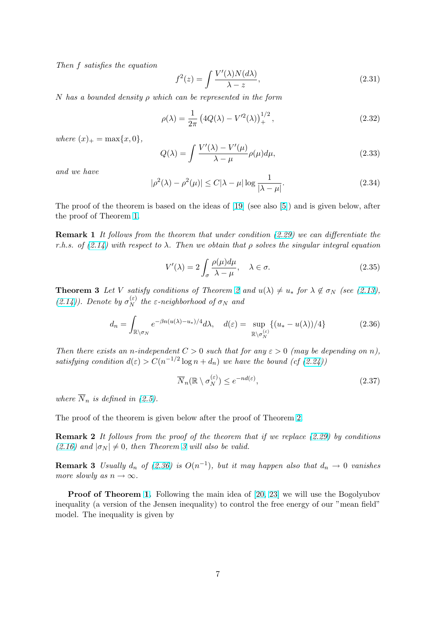<span id="page-6-0"></span>Then f satisfies the equation

$$
f^{2}(z) = \int \frac{V'(\lambda)N(d\lambda)}{\lambda - z},
$$
\n(2.31)

N has a bounded density  $\rho$  which can be represented in the form

$$
\rho(\lambda) = \frac{1}{2\pi} \left( 4Q(\lambda) - V'^2(\lambda) \right)_+^{1/2},\tag{2.32}
$$

where  $(x)_{+} = \max\{x, 0\},\,$ 

$$
Q(\lambda) = \int \frac{V'(\lambda) - V'(\mu)}{\lambda - \mu} \rho(\mu) d\mu,
$$
\n(2.33)

and we have

$$
|\rho^2(\lambda) - \rho^2(\mu)| \le C|\lambda - \mu| \log \frac{1}{|\lambda - \mu|}.
$$
\n(2.34)

The proof of the theorem is based on the ideas of [19] (see also [5]) and is given below, after the proof of Theorem 1.

Remark 1 It follows from the theorem that under condition (2.29) we can differentiate the r.h.s.of  $(2.14)$  with respect to  $\lambda$ . Then we obtain [that](#page-41-0)  $\rho$  solves t[he](#page-40-0) singular integral equation

$$
V'(\lambda) = 2 \int_{\sigma} \frac{\rho(\mu)d\mu}{\lambda - \mu}, \quad \lambda \in \sigma.
$$
 (2.35)

**Theore[m 3](#page-3-0)** Let V satisfy conditions of Theorem 2 and  $u(\lambda) \neq u_*$  for  $\lambda \notin \sigma_N$  (see (2.13),  $(2.14)$ ). Denote by  $\sigma_N^{(\varepsilon)}$  $\sum_{N}^{(\varepsilon)}$  the  $\varepsilon$ -neighborhood of  $\sigma_N$  and

$$
d_n = \int_{\mathbb{R}\setminus\sigma_N} e^{-\beta n(u(\lambda) - u_*)/4} d\lambda, \quad d(\varepsilon) = \sup_{\mathbb{R}\setminus\sigma_N^{(\varepsilon)}} \{ (u_* - u(\lambda))/4 \}
$$
(2.36)

Then there exists an n-independent  $C > 0$  such that for any  $\varepsilon > 0$  (may be depending on n), satisfying condition  $d(\varepsilon) > C(n^{-1/2} \log n + d_n)$  we have the bound (cf (2.24))

$$
\overline{N}_n(\mathbb{R} \setminus \sigma_N^{(\varepsilon)}) \le e^{-nd(\varepsilon)},\tag{2.37}
$$

where  $\overline{N}_n$  is defined in (2.5).

The proof of the theorem is given below after the proof of Theorem 2.

Remark 2 It followsf[rom](#page-1-0) the proof of the theorem that if we replace (2.29) by conditions (2.16) and  $|\sigma_N| \neq 0$ , then Theorem 3 will also be valid.

**Remark 3** Usually  $d_n$  of (2.36) is  $O(n^{-1})$ , but it may happen also that  $d_n \to 0$  vanishes more slowly as  $n \to \infty$ .

Proof of Theorem 1. Following the main idea of [20, 23] we will use the Bogolyubov inequality (a version of the Jensen inequality) to control the free energy of our "mean field" model. The inequality is given by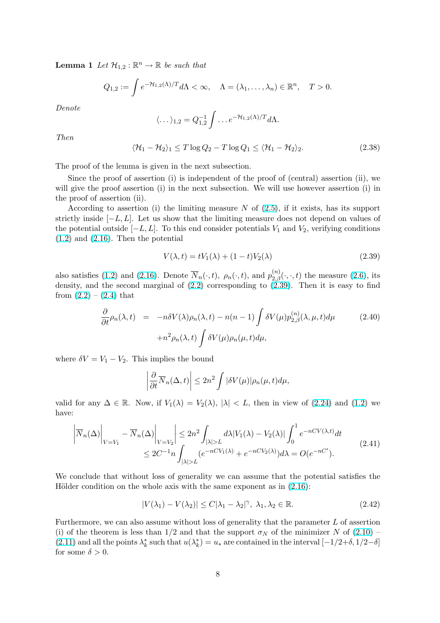<span id="page-7-0"></span>**Lemma 1** Let  $\mathcal{H}_{1,2} : \mathbb{R}^n \to \mathbb{R}$  be such that

$$
Q_{1,2} := \int e^{-\mathcal{H}_{1,2}(\Lambda)/T} d\Lambda < \infty, \quad \Lambda = (\lambda_1, \dots, \lambda_n) \in \mathbb{R}^n, \quad T > 0.
$$

Denote

$$
\langle \dots \rangle_{1,2} = Q_{1,2}^{-1} \int \dots e^{-\mathcal{H}_{1,2}(\Lambda)/T} d\Lambda.
$$

Then

$$
\langle \mathcal{H}_1 - \mathcal{H}_2 \rangle_1 \le T \log Q_2 - T \log Q_1 \le \langle \mathcal{H}_1 - \mathcal{H}_2 \rangle_2. \tag{2.38}
$$

The proof of the lemma is given in the next subsection.

Since the proof of assertion (i) is independent of the proof of (central) assertion (ii), we will give the proof assertion (i) in the next subsection. We will use however assertion (i) in the proof of assertion (ii).

According to assertion (i) the limiting measure  $N$  of (2.5), if it exists, has its support strictly inside  $[-L, L]$ . Let us show that the limiting measure does not depend on values of the potential outside  $[-L, L]$ . To this end consider potentials  $V_1$  and  $V_2$ , verifying conditions  $(1.2)$  and  $(2.16)$ . Then the potential

$$
V(\lambda, t) = tV_1(\lambda) + (1 - t)V_2(\lambda)
$$
\n(2.39)

[also](#page-0-0) satisfi[es \(1.](#page-3-0)2) and (2.16). Denote  $\overline{N}_n(\cdot,t)$ ,  $\rho_n(\cdot,t)$ , and  $p_{2,\beta}^{(n)}(\cdot,\cdot,t)$  the measure (2.6), its density, and the second marginal of  $(2.2)$  corresponding to  $(2.39)$ . Then it is easy to find from  $(2.2) - (2.4)$  that

$$
\frac{\partial}{\partial t}\rho_n(\lambda, t) = -n\delta V(\lambda)\rho_n(\lambda, t) - n(n-1) \int \delta V(\mu) p_{2,\beta}^{(n)}(\lambda, \mu, t) d\mu
$$
\n
$$
+ n^2 \rho_n(\lambda, t) \int \delta V(\mu)\rho_n(\mu, t) d\mu,
$$
\n(2.40)

where  $\delta V = V_1 - V_2$ . This implies the bound

$$
\left|\frac{\partial}{\partial t}\overline{N}_n(\Delta,t)\right| \leq 2n^2 \int |\delta V(\mu)| \rho_n(\mu,t) d\mu,
$$

valid for any  $\Delta \in \mathbb{R}$ . Now, if  $V_1(\lambda) = V_2(\lambda)$ ,  $|\lambda| < L$ , then in view of (2.24) and (1.2) we have:

$$
\left| \overline{N}_n(\Delta) \right|_{V=V_1} - \overline{N}_n(\Delta) \left| \sum_{V=V_2} \right| \le 2n^2 \int_{|\lambda| > L} d\lambda |V_1(\lambda) - V_2(\lambda)| \int_0^1 e^{-nCV(\lambda, t)} dt
$$
  

$$
\le 2C^{-1} n \int_{|\lambda| > L} (e^{-nCV_1(\lambda)} + e^{-nCV_2(\lambda)}) d\lambda = O(e^{-nC'}).
$$
\n(2.41)

We conclude that without loss of generality we can assume that the potential satisfies the Hölder condition on the whole axis with the same exponent as in  $(2.16)$ :

$$
|V(\lambda_1) - V(\lambda_2)| \le C|\lambda_1 - \lambda_2|^\gamma, \ \lambda_1, \lambda_2 \in \mathbb{R}.\tag{2.42}
$$

Furthermore, we can also assume without loss of generality that th[e para](#page-3-0)meter L of assertion (i) of the theorem is less than  $1/2$  and that the support  $\sigma_N$  of the minimizer N of (2.10) – (2.11) and all the points  $\lambda_k^*$  such that  $u(\lambda_k^*) = u_*$  are contained in the interval  $[-1/2+\delta, 1/2-\delta]$ for some  $\delta > 0$ .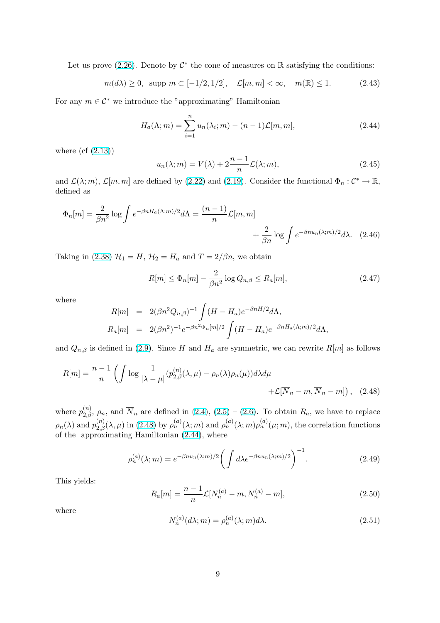<span id="page-8-0"></span>Let us prove (2.26). Denote by  $\mathcal{C}^*$  the cone of measures on R satisfying the conditions:

$$
m(d\lambda) \ge 0
$$
, supp  $m \subset [-1/2, 1/2]$ ,  $\mathcal{L}[m, m] < \infty$ ,  $m(\mathbb{R}) \le 1$ . (2.43)

For any  $m \in \mathcal{C}^*$  [we int](#page-5-0)roduce the "approximating" Hamiltonian

$$
H_a(\Lambda; m) = \sum_{i=1}^n u_n(\lambda_i; m) - (n-1)\mathcal{L}[m, m],
$$
\n(2.44)

where  $(cf (2.13))$ 

$$
u_n(\lambda; m) = V(\lambda) + 2\frac{n-1}{n}\mathcal{L}(\lambda; m), \qquad (2.45)
$$

and  $\mathcal{L}(\lambda; m)$  $\mathcal{L}(\lambda; m)$  $\mathcal{L}(\lambda; m)$ ,  $\mathcal{L}[m, m]$  are defined by (2.22) and (2.19). Consider the functional  $\Phi_n : \mathcal{C}^* \to \mathbb{R}$ , defined as

$$
\Phi_n[m] = \frac{2}{\beta n^2} \log \int e^{-\beta n H_a(\Lambda; m)/2} d\Lambda = \frac{(n-1)}{n} \mathcal{L}[m, m] + \frac{2}{\beta n} \log \int e^{-\beta n u_n(\lambda; m)/2} d\lambda. \quad (2.46)
$$

Taking in (2.38)  $\mathcal{H}_1 = H$ ,  $\mathcal{H}_2 = H_a$  and  $T = 2/\beta n$ , we obtain

$$
R[m] \le \Phi_n[m] - \frac{2}{\beta n^2} \log Q_{n,\beta} \le R_a[m],\tag{2.47}
$$

where

$$
R[m] = 2(\beta n^2 Q_{n,\beta})^{-1} \int (H - H_a) e^{-\beta n H/2} d\Lambda,
$$
  
\n
$$
R_a[m] = 2(\beta n^2)^{-1} e^{-\beta n^2 \Phi_n[m]/2} \int (H - H_a) e^{-\beta n H_a(\Lambda; m)/2} d\Lambda,
$$

and  $Q_{n,\beta}$  is defined in (2.9). Since H and  $H_a$  are symmetric, we can rewrite  $R[m]$  as follows

$$
R[m] = \frac{n-1}{n} \left( \int \log \frac{1}{|\lambda - \mu|} (p_{2,\beta}^{(n)}(\lambda, \mu) - \rho_n(\lambda)\rho_n(\mu)) d\lambda d\mu + \mathcal{L}[\overline{N}_n - m, \overline{N}_n - m] \right), \quad (2.48)
$$

where  $p_{2,\beta}^{(n)}$ ,  $\rho_n$ , and  $\overline{N}_n$  are defined in  $(2.4)$ ,  $(2.5)$  –  $(2.6)$ . To obtain  $R_a$ , we have to replace  $\rho_n(\lambda)$  and  $p_{2,\beta}^{(n)}(\lambda,\mu)$  in (2.48) by  $\rho_n^{(a)}(\lambda;m)$  and  $\rho_n^{(a)}(\lambda;m)\rho_n^{(a)}(\mu;m)$ , the correlation functions of the approximating Hamiltonian (2.44), where

$$
\rho_n^{(a)}(\lambda;m) = e^{-\beta nu_n(\lambda;m)/2} \left( \int d\lambda e^{-\beta nu_n(\lambda;m)/2} \right)^{-1}.
$$
\n(2.49)

This yields:

$$
R_a[m] = \frac{n-1}{n} \mathcal{L}[N_n^{(a)} - m, N_n^{(a)} - m],
$$
\n(2.50)

where

$$
N_n^{(a)}(d\lambda; m) = \rho_n^{(a)}(\lambda; m)d\lambda.
$$
\n(2.51)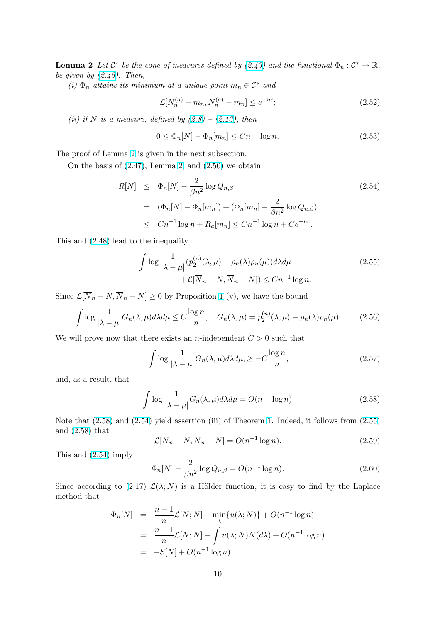<span id="page-9-0"></span>**Lemma 2** Let  $\mathcal{C}^*$  be the cone of measures defined by (2.43) and the functional  $\Phi_n : \mathcal{C}^* \to \mathbb{R}$ , be given by  $(2.46)$ . Then,

(i)  $\Phi_n$  attains its minimum at a unique point  $m_n \in \mathcal{C}^*$  and

$$
\mathcal{L}[N_n^{(a)} - m_n, N_n^{(a)} - m_n] \le e^{-nc};\tag{2.52}
$$

(ii) if N [is a](#page-8-0) measure, defined by  $(2.8) - (2.13)$ , then

$$
0 \le \Phi_n[N] - \Phi_n[m_n] \le Cn^{-1} \log n. \tag{2.53}
$$

The proof of Lemma 2 is given in the [nex](#page-2-0)t su[bsect](#page-3-0)ion.

On the basis of  $(2.47)$ , Lemma 2, and  $(2.50)$  we obtain

$$
R[N] \leq \Phi_n[N] - \frac{2}{\beta n^2} \log Q_{n,\beta}
$$
\n
$$
= (\Phi_n[N] - \Phi_n[m_n]) + (\Phi_n[m_n] - \frac{2}{\beta n^2} \log Q_{n,\beta})
$$
\n
$$
\leq Cn^{-1} \log n + R_a[m_n] \leq Cn^{-1} \log n + Ce^{-nc}.
$$
\n(2.54)

This and (2.48) lead to the inequality

$$
\int \log \frac{1}{|\lambda - \mu|} (p_2^{(n)}(\lambda, \mu) - \rho_n(\lambda)\rho_n(\mu)) d\lambda d\mu + \mathcal{L}[\overline{N}_n - N, \overline{N}_n - N]) \le Cn^{-1} \log n.
$$
\n(2.55)

Since  $\mathcal{L}[\overline{N}_n - N, \overline{N}_n - N] \ge 0$  by Proposition 1 (v), we have the bound

$$
\int \log \frac{1}{|\lambda - \mu|} G_n(\lambda, \mu) d\lambda d\mu \le C \frac{\log n}{n}, \quad G_n(\lambda, \mu) = p_2^{(n)}(\lambda, \mu) - \rho_n(\lambda) \rho_n(\mu). \tag{2.56}
$$

We will prove now that there exists an *n*-inde[pe](#page-3-0)ndent  $C > 0$  such that

$$
\int \log \frac{1}{|\lambda - \mu|} G_n(\lambda, \mu) d\lambda d\mu, \geq -C \frac{\log n}{n}, \tag{2.57}
$$

and, as a result, that

$$
\int \log \frac{1}{|\lambda - \mu|} G_n(\lambda, \mu) d\lambda d\mu = O(n^{-1} \log n). \tag{2.58}
$$

Note that (2.58) and (2.54) yield assertion (iii) of Theorem 1. Indeed, it follows from (2.55) and (2.58) that

$$
\mathcal{L}[\overline{N}_n - N, \overline{N}_n - N] = O(n^{-1}\log n). \tag{2.59}
$$

This and (2.54) imply

$$
\Phi_n[N] - \frac{2}{\beta n^2} \log Q_{n,\beta} = O(n^{-1} \log n). \tag{2.60}
$$

Since according to (2.17)  $\mathcal{L}(\lambda; N)$  is a Hölder function, it is easy to find by the Laplace method that

$$
\Phi_n[N] = \frac{n-1}{n} \mathcal{L}[N; N] - \min_{\lambda} \{u(\lambda; N)\} + O(n^{-1} \log n)
$$
  
= 
$$
\frac{n-1}{n} \mathcal{L}[N; N] - \int u(\lambda; N)N(d\lambda) + O(n^{-1} \log n)
$$
  
= 
$$
-\mathcal{E}[N] + O(n^{-1} \log n).
$$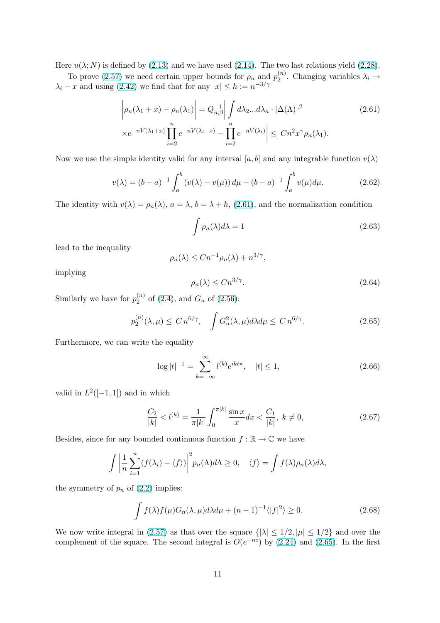<span id="page-10-0"></span>Here  $u(\lambda; N)$  is defined by (2.13) and we have used (2.14). The two last relations yield (2.28).

To prove (2.57) we need certain upper bounds for  $\rho_n$  and  $p_2^{(n)}$  $\chi_2^{(n)}$ . Changing variables  $\lambda_i \rightarrow$  $\lambda_i - x$  and using (2.42) we find that for any  $|x| \leq h := n^{-3/\gamma}$ 

$$
\left| \rho_n(\lambda_1 + x) - \rho_n(\lambda_1) \right| = Q_{n,\beta}^{-1} \left| \int d\lambda_2 \dots d\lambda_n \cdot |\Delta(\Lambda)|^\beta \right|
$$
  
 
$$
\times e^{-nV(\lambda_1 + x)} \prod_{i=2}^n e^{-nV(\lambda_i - x)} - \prod_{i=2}^n e^{-nV(\lambda_i)} \left| \le Cn^2 x^\gamma \rho_n(\lambda_1).
$$
 (2.61)

Now we use the simple identity valid for any interval [a, b] and any integrable function  $v(\lambda)$ 

$$
v(\lambda) = (b - a)^{-1} \int_{a}^{b} (v(\lambda) - v(\mu)) d\mu + (b - a)^{-1} \int_{a}^{b} v(\mu) d\mu.
$$
 (2.62)

The identity with  $v(\lambda) = \rho_n(\lambda)$ ,  $a = \lambda$ ,  $b = \lambda + h$ , (2.61), and the normalization condition

$$
\int \rho_n(\lambda)d\lambda = 1\tag{2.63}
$$

lead to the inequality

$$
\rho_n(\lambda) \le Cn^{-1} \rho_n(\lambda) + n^{3/\gamma},
$$

implying

$$
\rho_n(\lambda) \le C n^{3/\gamma}.\tag{2.64}
$$

Similarly we have for  $p_2^{(n)}$  $_{2}^{(n)}$  of (2.4), and  $G_n$  of (2.56):

$$
p_2^{(n)}(\lambda,\mu) \le C n^{6/\gamma}, \quad \int G_n^2(\lambda,\mu) d\lambda d\mu \le C n^{6/\gamma}.
$$
 (2.65)

Furthermore, we can write th[e eq](#page-1-0)uality

$$
\log|t|^{-1} = \sum_{k=-\infty}^{\infty} l^{(k)} e^{ikt\pi}, \quad |t| \le 1,
$$
\n(2.66)

valid in  $L^2([-1,1])$  and in which

$$
\frac{C_2}{|k|} < l^{(k)} = \frac{1}{\pi |k|} \int_0^{\pi |k|} \frac{\sin x}{x} dx < \frac{C_1}{|k|}, \ k \neq 0,\tag{2.67}
$$

Besides, since for any bounded continuous function  $f : \mathbb{R} \to \mathbb{C}$  we have

$$
\int \left| \frac{1}{n} \sum_{i=1}^{n} (f(\lambda_i) - \langle f \rangle) \right|^2 p_n(\Lambda) d\Lambda \ge 0, \quad \langle f \rangle = \int f(\lambda) \rho_n(\lambda) d\lambda,
$$

the symmetry of  $p_n$  of  $(2.2)$  implies:

$$
\int f(\lambda)\overline{f}(\mu)G_n(\lambda,\mu)d\lambda d\mu + (n-1)^{-1}\langle |f|^2\rangle \ge 0.
$$
 (2.68)

We now write integral [in \(2](#page-1-0).57) as that over the square  $\{|\lambda| \leq 1/2, |\mu| \leq 1/2\}$  and over the complement of the square. The second integral is  $O(e^{-nc})$  by (2.24) and (2.65). In the first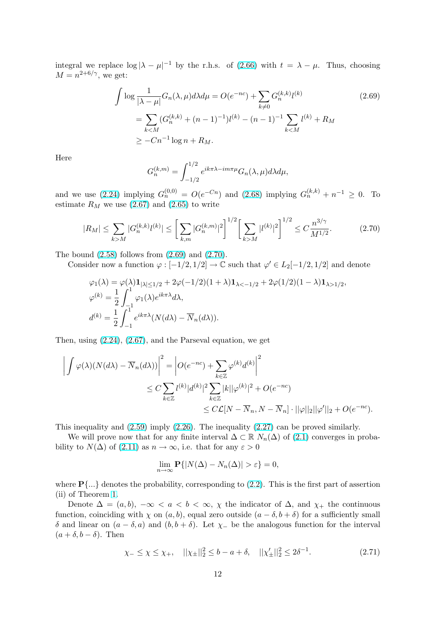<span id="page-11-0"></span>integral we replace  $\log |\lambda - \mu|^{-1}$  by the r.h.s. of (2.66) with  $t = \lambda - \mu$ . Thus, choosing  $M = n^{2+6/\gamma}$ , we get:

$$
\int \log \frac{1}{|\lambda - \mu|} G_n(\lambda, \mu) d\lambda d\mu = O(e^{-nc}) + \sum_{k \neq 0} G_n^{(k,k)} l^{(k)}
$$
\n
$$
= \sum_{k < M} (G_n^{(k,k)} + (n-1)^{-1}) l^{(k)} - (n-1)^{-1} \sum_{k < M} l^{(k)} + R_M
$$
\n
$$
\geq -Cn^{-1} \log n + R_M.
$$
\n(2.69)

Here

$$
G_n^{(k,m)}=\int_{-1/2}^{1/2} e^{ik\pi\lambda-im\pi\mu}G_n(\lambda,\mu)d\lambda d\mu,
$$

and we use (2.24) implying  $G_n^{(0,0)} = O(e^{-Cn})$  and (2.68) implying  $G_n^{(k,k)} + n^{-1} \geq 0$ . To estimate  $R_M$  we use (2.67) and (2.65) to write

$$
|R_M| \le \sum_{k>M} |G_n^{(k,k)} l^{(k)}| \le \left[\sum_{k,m} |G_n^{(k,m)}|^2\right]^{1/2} \left[\sum_{k>M} |l^{(k)}|^2\right]^{1/2} \le C \frac{n^{3/\gamma}}{M^{1/2}}.\tag{2.70}
$$

The bound  $(2.58)$  follows from  $(2.69)$  and  $(2.70)$ .

Consider now a function  $\varphi : [-1/2, 1/2] \to \mathbb{C}$  such that  $\varphi' \in L_2[-1/2, 1/2]$  and denote

$$
\varphi_1(\lambda) = \varphi(\lambda) \mathbf{1}_{|\lambda| \le 1/2} + 2\varphi(-1/2)(1+\lambda) \mathbf{1}_{\lambda < -1/2} + 2\varphi(1/2)(1-\lambda) \mathbf{1}_{\lambda > 1/2},
$$
  
\n
$$
\varphi^{(k)} = \frac{1}{2} \int_{-1}^{1} \varphi_1(\lambda) e^{ik\pi \lambda} d\lambda,
$$
  
\n
$$
d^{(k)} = \frac{1}{2} \int_{-1}^{1} e^{ik\pi \lambda} (N(d\lambda) - \overline{N}_n(d\lambda)).
$$

Then, using (2.24), (2.67), and the Parseval equation, we get

$$
\left| \int \varphi(\lambda)(N(d\lambda) - \overline{N}_n(d\lambda)) \right|^2 = \left| O(e^{-nc}) + \sum_{k \in \mathbb{Z}} \varphi^{(k)} d^{(k)} \right|^2
$$
  

$$
\leq C \sum_{k \in \mathbb{Z}} l^{(k)} |d^{(k)}|^2 \sum_{k \in \mathbb{Z}} |k| |\varphi^{(k)}|^2 + O(e^{-nc})
$$
  

$$
\leq C \mathcal{L}[N - \overline{N}_n, N - \overline{N}_n] \cdot ||\varphi||_2 ||\varphi'||_2 + O(e^{-nc}).
$$

This inequality and (2.59) imply (2.26). The inequality (2.27) can be proved similarly.

We will prove now that for any finite interval  $\Delta \subset \mathbb{R}$   $N_n(\Delta)$  of (2.1) converges in probability to  $N(\Delta)$  of (2.11) as  $n \to \infty$ , i.e. that for any  $\varepsilon > 0$ 

$$
\lim_{n \to \infty} \mathbf{P}\{|N(\Delta) - N_n(\Delta)| > \varepsilon\} = 0,
$$

where  $\mathbf{P}\{\ldots\}$  deno[tes th](#page-3-0)e probability, corresponding to (2.2). This is the first part of assertion (ii) of Theorem 1.

Denote  $\Delta = (a, b), -\infty < a < b < \infty, \chi$  the indicator of  $\Delta$ , and  $\chi_{+}$  the continuous function, coinciding with  $\chi$  on  $(a, b)$ , equal zero outside  $(a - \delta, b + \delta)$  for a sufficiently small δ and linear on  $(a - \delta, a)$  and  $(b, b + \delta)$ . Let  $\chi$ <sub>-</sub> be t[he a](#page-1-0)nalogous function for the interval  $(a + \delta, b - \delta)$ . T[he](#page-5-0)n

$$
\chi_{-} \le \chi \le \chi_{+}, \quad ||\chi_{\pm}||_{2}^{2} \le b - a + \delta, \quad ||\chi_{\pm}'||_{2}^{2} \le 2\delta^{-1}.
$$
 (2.71)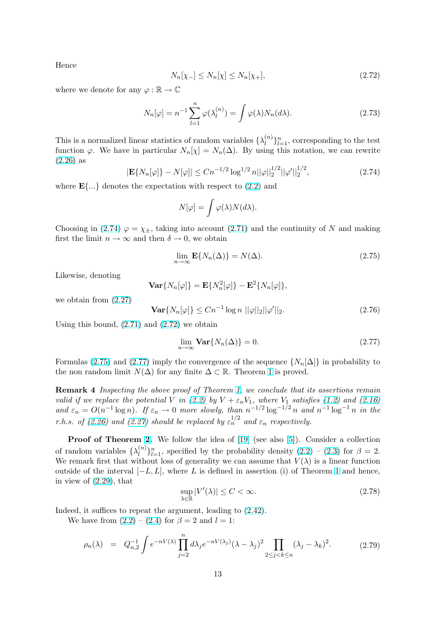<span id="page-12-0"></span>Hence

$$
N_n[\chi_{-}] \le N_n[\chi] \le N_n[\chi_{+}],\tag{2.72}
$$

where we denote for any  $\varphi : \mathbb{R} \to \mathbb{C}$ 

$$
N_n[\varphi] = n^{-1} \sum_{l=1}^n \varphi(\lambda_l^{(n)}) = \int \varphi(\lambda) N_n(d\lambda).
$$
 (2.73)

This is a normalized linear statistics of random variables  $\{\lambda_l^{(n)}\}$  $\binom{n}{l}_{l=1}^n$ , corresponding to the test function  $\varphi$ . We have in particular  $N_n[\chi] = N_n(\Delta)$ . By using this notation, we can rewrite (2.26) as

$$
|\mathbf{E}\{N_n[\varphi]\} - N[\varphi]| \le Cn^{-1/2} \log^{1/2} n ||\varphi||_2^{1/2} ||\varphi'||_2^{1/2},\tag{2.74}
$$

where  $\mathbf{E}\{\ldots\}$  denotes the expectation with respect to  $(2.2)$  and

$$
N[\varphi] = \int \varphi(\lambda) N(d\lambda).
$$

Choosing in (2.74)  $\varphi = \chi_{\pm}$ , taking into account (2.71[\) an](#page-1-0)d the continuity of N and making first the limit  $n \to \infty$  and then  $\delta \to 0$ , we obtain

$$
\lim_{n \to \infty} \mathbf{E}\{N_n(\Delta)\} = N(\Delta). \tag{2.75}
$$

Likewise, denoting

$$
\mathbf{Var}\{N_n[\varphi]\} = \mathbf{E}\{N_n^2[\varphi]\} - \mathbf{E}^2\{N_n[\varphi]\},\
$$

we obtain from (2.27)

$$
\mathbf{Var}\{N_n[\varphi]\} \le Cn^{-1}\log n \, ||\varphi||_2 ||\varphi'||_2. \tag{2.76}
$$

Using this bound,  $(2.71)$  and  $(2.72)$  we obtain

$$
\lim_{n \to \infty} \mathbf{Var}\{N_n(\Delta)\} = 0. \tag{2.77}
$$

Formulas (2.75) an[d \(2.7](#page-11-0)7) imply the convergence of the sequence  $\{N_n[\Delta]\}\$  in probability to the non random limit  $N(\Delta)$  for any finite  $\Delta \subset \mathbb{R}$ . Theorem 1 is proved.

Remark 4 Inspecting the above proof of Theorem 1, we conclude that its assertions remain valid if we replace the potential V in (2.2) by  $V + \varepsilon_n V_1$ , where  $V_1$  satisfies (1.2) and (2.16) and  $\varepsilon_n = O(n^{-1} \log n)$  $\varepsilon_n = O(n^{-1} \log n)$  $\varepsilon_n = O(n^{-1} \log n)$ . If  $\varepsilon_n \to 0$  more slowly, than  $n^{-1/2} \log^{-1/2} n$  and  $n^{-1} \log^{-1} n$  in the r.h.s. of (2.26) and (2.27) should be replaced by  $\varepsilon_n^{1/2}$  and  $\varepsilon_n$  respectively.

Proof of Theorem 2. We follo[w th](#page-1-0)e idea of [19] (see also [5]). Cons[ider](#page-0-0) a coll[ection](#page-3-0) of random variables  $\{\lambda_l^{(n)}\}$  $\binom{n}{l}_{l=1}^n$ , specified by the probability density  $(2.2) - (2.3)$  for  $\beta = 2$ . We rema[rk firs](#page-5-0)t that [with](#page-5-0)out loss of generality we can assume that  $V(\lambda)$  is a linear function outsideof the interval  $[-L, L]$  $[-L, L]$  $[-L, L]$ , where L is defined i[n a](#page-41-0)ssertion (i) [o](#page-40-0)f Theorem 1 and hence, in view of (2.29), that

$$
\sup_{\lambda \in \mathbb{R}} |V'(\lambda)| \le C < \infty.
$$
\n(2.78)

Indeed, it suffices to repeat the argument, leading to  $(2.42)$ .

We hav[e from](#page-5-0)  $(2.2) - (2.4)$  for  $\beta = 2$  and  $l = 1$ :

$$
\rho_n(\lambda) = Q_{n,2}^{-1} \int e^{-nV(\lambda)} \prod_{j=2}^n d\lambda_j e^{-nV(\lambda_j)} (\lambda - \lambda_j)^2 \prod_{2 \le j < k \le n} (\lambda_j - \lambda_k)^2. \tag{2.79}
$$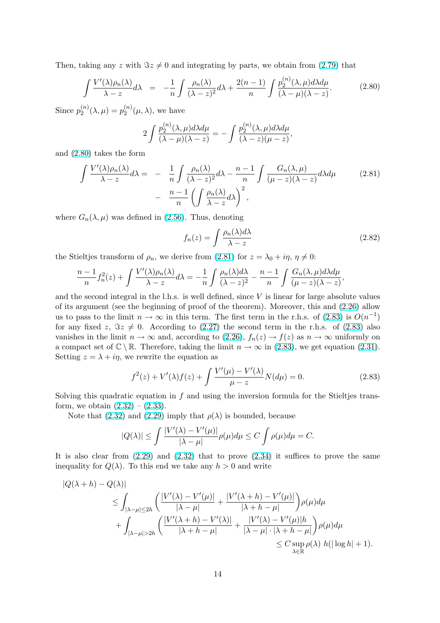<span id="page-13-0"></span>Then, taking any z with  $\Im z \neq 0$  and integrating by parts, we obtain from (2.79) that

$$
\int \frac{V'(\lambda)\rho_n(\lambda)}{\lambda - z} d\lambda = -\frac{1}{n} \int \frac{\rho_n(\lambda)}{(\lambda - z)^2} d\lambda + \frac{2(n - 1)}{n} \int \frac{p_2^{(n)}(\lambda, \mu) d\lambda d\mu}{(\lambda - \mu)(\lambda - z)}.
$$
 (2.80)

Since  $p_2^{(n)}$  $2^{(n)}_{2}(\lambda,\mu) = p_{2}^{(n)}$  $\binom{n}{2}(\mu,\lambda)$ , we have

$$
2\int \frac{p_2^{(n)}(\lambda,\mu)d\lambda d\mu}{(\lambda-\mu)(\lambda-z)} = -\int \frac{p_2^{(n)}(\lambda,\mu)d\lambda d\mu}{(\lambda-z)(\mu-z)},
$$

and (2.80) takes the form

$$
\int \frac{V'(\lambda)\rho_n(\lambda)}{\lambda - z} d\lambda = -\frac{1}{n} \int \frac{\rho_n(\lambda)}{(\lambda - z)^2} d\lambda - \frac{n - 1}{n} \int \frac{G_n(\lambda, \mu)}{(\mu - z)(\lambda - z)} d\lambda d\mu - \frac{n - 1}{n} \left( \int \frac{\rho_n(\lambda)}{\lambda - z} d\lambda \right)^2,
$$
\n(2.81)

where  $G_n(\lambda, \mu)$  was defined in (2.56). Thus, denoting

$$
f_n(z) = \int \frac{\rho_n(\lambda)d\lambda}{\lambda - z} \tag{2.82}
$$

the Stieltjes transform of  $\rho_n$ , w[e der](#page-9-0)ive from (2.81) for  $z = \lambda_0 + i\eta$ ,  $\eta \neq 0$ :

$$
\frac{n-1}{n}f_n^2(z) + \int \frac{V'(\lambda)\rho_n(\lambda)}{\lambda - z}d\lambda = -\frac{1}{n}\int \frac{\rho_n(\lambda)d\lambda}{(\lambda - z)^2} - \frac{n-1}{n}\int \frac{G_n(\lambda,\mu)d\lambda d\mu}{(\mu - z)(\lambda - z)},
$$

and the second integral in the l.h.s. is well defined, since  $V$  is linear for large absolute values of its argument (see the beginning of proof of the theorem). Moreover, this and (2.26) allow us to pass to the limit  $n \to \infty$  in this term. The first term in the r.h.s. of (2.83) is  $O(n^{-1})$ for any fixed z,  $\Im z \neq 0$ . According to (2.27) the second term in the r.h.s. of (2.83) also vanishes in the limit  $n \to \infty$  and, according to (2.26),  $f_n(z) \to f(z)$  as  $n \to \infty$  uniformly on a compact set of  $\mathbb{C} \setminus \mathbb{R}$ . Therefore, taking the limit  $n \to \infty$  in (2.83), we get equa[tion](#page-5-0) (2.31). Setting  $z = \lambda + i\eta$ , we rewrite the equation as

$$
f^{2}(z) + V'(\lambda)f(z) + \int \frac{V'(\mu) - V'(\lambda)}{\mu - z} N(d\mu) = 0.
$$
 (2.83)

Solving this quadratic equation in  $f$  and using the inversion formula for the Stieltjes transform, we obtain  $(2.32) - (2.33)$ .

Note that (2.32) and (2.29) imply that  $\rho(\lambda)$  is bounded, because

$$
|Q(\lambda)| \le \int \frac{|V'(\lambda) - V'(\mu)|}{|\lambda - \mu|} \rho(\mu) d\mu \le C \int \rho(\mu) d\mu = C.
$$

It is also clea[r from](#page-6-0)  $(2.29)$  and  $(2.32)$  that to prove  $(2.34)$  it suffices to prove the same inequality for  $Q(\lambda)$ . To this end we take any  $h > 0$  and write

$$
|Q(\lambda + h) - Q(\lambda)|
$$
  
\n
$$
\leq \int_{|\lambda - \mu| \leq 2h} \left( \frac{|V'(\lambda) - V'(\mu)|}{|\lambda - \mu|} + \frac{|V'(\lambda + h) - V'(\mu)|}{|\lambda + h - \mu|} \right) \rho(\mu) d\mu
$$
  
\n
$$
+ \int_{|\lambda - \mu| > 2h} \left( \frac{|V'(\lambda + h) - V'(\lambda)|}{|\lambda + h - \mu|} + \frac{|V'(\lambda) - V'(\mu)|h}{|\lambda - \mu| \cdot |\lambda + h - \mu|} \right) \rho(\mu) d\mu
$$
  
\n
$$
\leq C \sup_{\lambda \in \mathbb{R}} \rho(\lambda) h(|\log h| + 1).
$$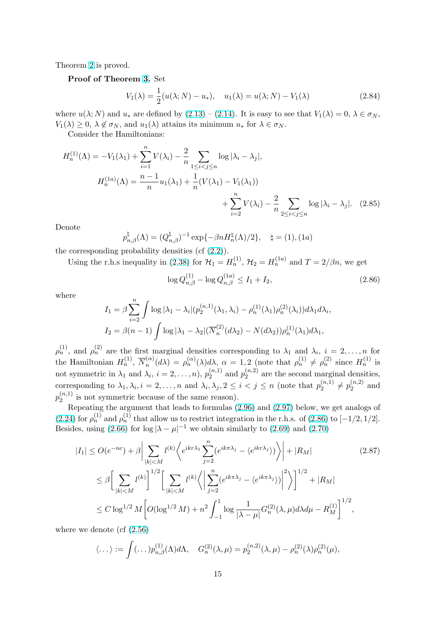<span id="page-14-0"></span>Theorem 2 is proved.

#### Proof of Theorem 3. Set

$$
V_1(\lambda) = \frac{1}{2}(u(\lambda; N) - u_*)
$$
\n
$$
u_1(\lambda) = u(\lambda; N) - V_1(\lambda)
$$
\n(2.84)

where  $u(\lambda; N)$  and  $u_*$  ar[e d](#page-6-0)efined by  $(2.13) - (2.14)$ . It is easy to see that  $V_1(\lambda) = 0, \lambda \in \sigma_N$ ,  $V_1(\lambda) \geq 0, \ \lambda \notin \sigma_N$ , and  $u_1(\lambda)$  attains its minimum  $u_*$  for  $\lambda \in \sigma_N$ .

Consider the Hamiltonians:

$$
H_n^{(1)}(\Lambda) = -V_1(\lambda_1) + \sum_{i=1}^n V(\lambda_i) - \frac{2}{n} \sum_{1 \le i < j \le n} \log |\lambda_i - \lambda_j|,
$$
  

$$
H_n^{(1a)}(\Lambda) = \frac{n-1}{n} u_1(\lambda_1) + \frac{1}{n} (V(\lambda_1) - V_1(\lambda_1)) + \sum_{i=2}^n V(\lambda_i) - \frac{2}{n} \sum_{2 \le i < j \le n} \log |\lambda_i - \lambda_j|.
$$
 (2.85)

Denote

$$
p_{n,\beta}^{\natural}(\Lambda) = (Q_{n,\beta}^{\natural})^{-1} \exp\{-\beta n H_n^{\natural}(\Lambda)/2\}, \quad \natural = (1), (1a)
$$

the corresponding probability densities  $(cf (2.2))$ .

Using the r.h.s inequality in (2.38) for  $\mathcal{H}_1 = H_n^{(1)}$ ,  $\mathcal{H}_2 = H_n^{(1a)}$  and  $T = 2/\beta n$ , we get

$$
\log Q_{n,\beta}^{(1)} - \log Q_{n,\beta}^{(1a)} \le I_1 + I_2,\tag{2.86}
$$

where

$$
I_1 = \beta \sum_{i=2}^n \int \log |\lambda_1 - \lambda_i| (p_2^{(n,1)}(\lambda_1, \lambda_i) - \rho_n^{(1)}(\lambda_1)\rho_n^{(2)}(\lambda_i)) d\lambda_1 d\lambda_i,
$$
  
\n
$$
I_2 = \beta(n-1) \int \log |\lambda_1 - \lambda_2| (\overline{N}_n^{(2)}(d\lambda_2) - N(d\lambda_2)) \rho_n^{(1)}(\lambda_1) d\lambda_1,
$$

 $\rho_n^{(1)}$ , and  $\rho_n^{(2)}$  are the first marginal densities corresponding to  $\lambda_1$  and  $\lambda_i$ ,  $i=2,\ldots,n$  for the Hamiltonian  $H_n^{(1)}$ ,  $\overline{N}_n^{(\alpha)}$  $n_n^{(\alpha)}(d\lambda) = \rho_n^{(\alpha)}(\lambda)d\lambda, \ \alpha = 1,2$  (note that  $\rho_n^{(1)} \neq \rho_n^{(2)}$  since  $H_n^{(1)}$  is not symmetric in  $\lambda_1$  and  $\lambda_i$ ,  $i = 2, ..., n$ ),  $p_2^{(n,1)}$  $p_2^{(n,1)}$  and  $p_2^{(n,2)}$  $n^{(n,2)}$  are the second marginal densities, corresponding to  $\lambda_1, \lambda_i, i = 2, \ldots, n$  and  $\lambda_i, \lambda_j, 2 \leq i < j \leq n$  (note that  $p_2^{(n,1)}$ )  $p_2^{(n,1)} \neq p_2^{(n,2)}$  $2^{(n,2)}$  and  $p_2^{(n,1)}$  $\binom{n,1}{2}$  is not symmetric because of the same reason).

Repeating the argument that leads to formulas (2.96) and (2.97) below, we get analogs of (2.24) for  $\rho_n^{(1)}$  and  $\rho_n^{(1)}$  that allow us to restrict integration in the r.h.s. of (2.86) to [−1/2, 1/2]. Besides, using (2.66) for  $\log |\lambda - \mu|^{-1}$  we obtain similarly to (2.69) and (2.70)

$$
|I_{1}| \leq O(e^{-nc}) + \beta \Big| \sum_{|k| < M} l^{(k)} \Big\langle e^{ikr\lambda_{1}} \sum_{j=2}^{n} (e^{ikr\lambda_{j}} - \langle e^{ikr\lambda_{j}} \rangle) \Big\rangle + |R_{M}| \qquad (2.87)
$$
  

$$
\leq \beta \Big[ \sum_{|k| < M} l^{(k)} \Big]^{1/2} \Big[ \sum_{|k| < M} l^{(k)} \Big\langle \Big| \sum_{j=2}^{n} (e^{ikr\lambda_{j}} - \langle e^{ikr\lambda_{j}} \rangle) \Big|^{2} \Big\rangle \Big]^{1/2} + |R_{M}|
$$
  

$$
\leq C \log^{1/2} M \Big[ O(\log^{1/2} M) + n^{2} \int_{-1}^{1} \log \frac{1}{|\lambda - \mu|} G_{n}^{(2)}(\lambda, \mu) d\lambda d\mu - R_{M}^{(1)} \Big]^{1/2},
$$

where we denote (cf (2.56)

$$
\langle \dots \rangle := \int (\dots) p_{n,\beta}^{(1)}(\Lambda) d\Lambda, \quad G_n^{(2)}(\lambda,\mu) = p_2^{(n,2)}(\lambda,\mu) - \rho_n^{(2)}(\lambda) \rho_n^{(2)}(\mu),
$$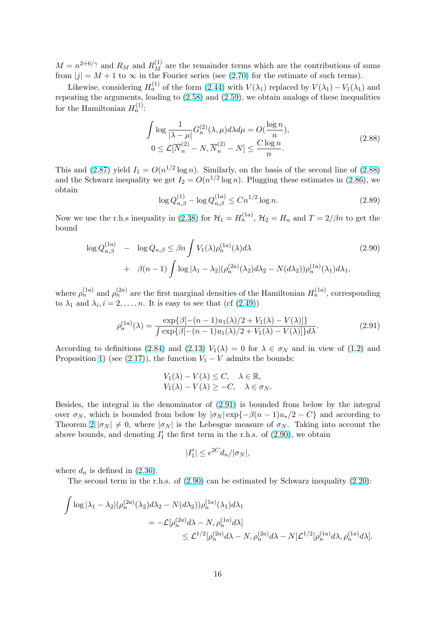$M = n^{2+6/\gamma}$  and  $R_M$  and  $R_M^{(1)}$  are the remainder terms which are the contributions of sums from  $|j| = M + 1$  to  $\infty$  in the Fourier series (see (2.70) for the estimate of such terms).

Likewise, considering  $H_a^{(1)}$  of the form (2.44) with  $V(\lambda_1)$  replaced by  $V(\lambda_1) - V_1(\lambda_1)$  and repeating the arguments, leading to (2.58) and (2.59), we obtain analogs of these inequalities for the Hamiltonian  $H_n^{(1)}$ :

$$
\int \log \frac{1}{|\lambda - \mu|} G_n^{(2)}(\lambda, \mu) d\lambda d\mu = O(\frac{\log n}{n}),
$$
  
\n
$$
0 \le \mathcal{L}[\overline{N}_n^{(2)} - N, \overline{N}_n^{(2)} - N] \le \frac{C \log n}{n}.
$$
\n(2.88)

This and (2.87) yield  $I_1 = O(n^{1/2} \log n)$ . Similarly, on the basis of the second line of (2.88) and the Schwarz inequality we get  $I_2 = O(n^{1/2} \log n)$ . Plugging these estimates in (2.86), we obtain

$$
\log Q_{n,\beta}^{(1)} - \log Q_{n,\beta}^{(1a)} \le C n^{1/2} \log n. \tag{2.89}
$$

Now we use the r.h.s inequality in (2.38) for  $\mathcal{H}_1 = H_n^{(1a)}$ ,  $\mathcal{H}_2 = H_n$  and  $T = 2/\beta n$  [to get](#page-14-0) the bound

$$
\log Q_{n,\beta}^{(1a)} - \log Q_{n,\beta} \le \beta n \int V_1(\lambda) \rho_n^{(1a)}(\lambda) d\lambda
$$
  
+  $\beta(n-1) \int \log |\lambda_1 - \lambda_2| (\rho_n^{(2a)}(\lambda_2) d\lambda_2 - N(d\lambda_2)) \rho_n^{(1a)}(\lambda_1) d\lambda_1,$  (2.90)

where  $\rho_n^{(1a)}$  and  $\rho_n^{(2a)}$  are the first marginal densities of the Hamiltonian  $H_n^{(1a)}$ , corresponding to  $\lambda_1$  and  $\lambda_i$ ,  $i = 2, \ldots, n$ . It is easy to see that (cf (2.49))

$$
\rho_n^{(1a)}(\lambda) = \frac{\exp\{\beta[-(n-1)u_1(\lambda)/2 + V_1(\lambda) - V(\lambda)]\}}{\int \exp\{\beta[-(n-1)u_1(\lambda)/2 + V_1(\lambda) - V(\lambda)]\}d\lambda}.
$$
\n(2.91)

According to definitions (2.84) and (2.13)  $V_1(\lambda) = 0$  for  $\lambda \in \sigma_N$  and in view of (1.2) and Proposition 1) (see (2.17)), the function  $V_1 - V$  admits the bounds:

$$
V_1(\lambda) - V(\lambda) \le C, \quad \lambda \in \mathbb{R},
$$
  
 
$$
V_1(\lambda) - V(\lambda) \ge -C, \quad \lambda \in \sigma_N.
$$

Besides, the integral in the denominator of (2.91) is bounded from below by the integral over  $\sigma_N$ , which is bounded from below by  $|\sigma_N| \exp{-\beta(n-1)u_*/2 - C}$  and according to Theorem 2  $|\sigma_N| \neq 0$ , where  $|\sigma_N|$  is the Lebesgue measure of  $\sigma_N$ . Taking into account the above bounds, and denoting  $I'_1$  the first term in the r.h.s. of (2.90), we obtain

$$
|I_1'| \le e^{2C} d_n/|\sigma_N|,
$$

where  $d_n$  is defined in  $(2.36)$ .

The second term in the r.h.s. of (2.90) can be estimated by Schwarz inequality (2.20):

$$
\int \log |\lambda_1 - \lambda_2| (\rho_n^{(2a)}(\lambda_2) d\lambda_2 - N(d\lambda_2)) \rho_n^{(1a)}(\lambda_1) d\lambda_1
$$
  
=  $-\mathcal{L}[\rho_n^{(2a)} d\lambda - N, \rho_n^{(1a)} d\lambda]$   
 $\leq \mathcal{L}^{1/2}[\rho_n^{(2a)} d\lambda - N, \rho_n^{(2a)} d\lambda - N] \mathcal{L}^{1/2}[\rho_n^{(1a)} d\lambda, \rho_n^{(1a)} d\lambda].$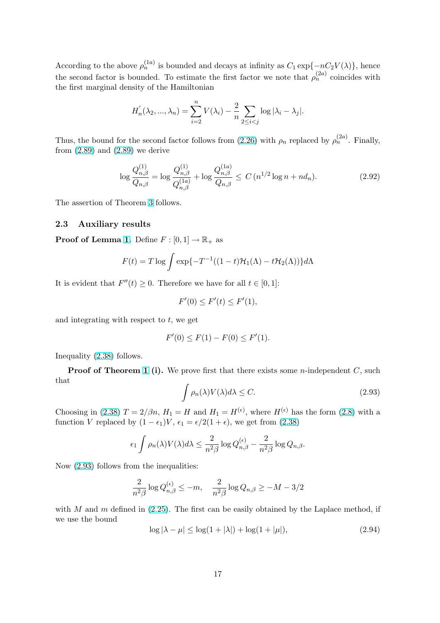<span id="page-16-0"></span>According to the above  $\rho_n^{(1a)}$  is bounded and decays at infinity as  $C_1 \exp\{-nC_2V(\lambda)\}\$ , hence the second factor is bounded. To estimate the first factor we note that  $\rho_n^{(2a)}$  coincides with the first marginal density of the Hamiltonian

$$
H'_n(\lambda_2, ..., \lambda_n) = \sum_{i=2}^n V(\lambda_i) - \frac{2}{n} \sum_{2 \le i < j} \log |\lambda_i - \lambda_j|.
$$

Thus, the bound for the second factor follows from (2.26) with  $\rho_n$  replaced by  $\rho_n^{(2a)}$ . Finally, from  $(2.89)$  and  $(2.89)$  we derive

$$
\log \frac{Q_{n,\beta}^{(1)}}{Q_{n,\beta}} = \log \frac{Q_{n,\beta}^{(1)}}{Q_{n,\beta}^{(1a)}} + \log \frac{Q_{n,\beta}^{(1a)}}{Q_{n,\beta}} \le C \left( n^{1/2} \log n + nd_n \right). \tag{2.92}
$$

The assertion of Theorem 3 follows.

#### 2.3 Auxiliary results

**Proof of Lemma 1.** De[fin](#page-6-0)e  $F : [0,1] \to \mathbb{R}_+$  as

$$
F(t) = T \log \int \exp\{-T^{-1}((1-t)\mathcal{H}_1(\Lambda) - t\mathcal{H}_2(\Lambda))\} d\Lambda
$$

It is evident that  $F''(t) \geq 0$ . Therefore we have for all  $t \in [0,1]$ :

$$
F'(0) \le F'(t) \le F'(1),
$$

and integrating with respect to  $t$ , we get

$$
F'(0) \le F(1) - F(0) \le F'(1).
$$

Inequality (2.38) follows.

**Proof of Theorem 1 (i).** We prove first that there exists some *n*-independent  $C$ , such that

$$
\int \rho_n(\lambda)V(\lambda)d\lambda \le C. \tag{2.93}
$$

Choosing in (2.38)  $T = 2/\beta n$ ,  $H_1 = H$  and  $H_1 = H^{(\epsilon)}$ , where  $H^{(\epsilon)}$  has the form (2.8) with a function V replaced by  $(1 - \epsilon_1)V$ ,  $\epsilon_1 = \epsilon/2(1 + \epsilon)$ , we get from  $(2.38)$ 

$$
\epsilon_1 \int \rho_n(\lambda) V(\lambda) d\lambda \leq \frac{2}{n^2 \beta} \log Q_{n,\beta}^{(\epsilon)} - \frac{2}{n^2 \beta} \log Q_{n,\beta}.
$$

Now (2.93) follows from the inequalities:

$$
\frac{2}{n^2\beta}\log Q_{n,\beta}^{(\epsilon)}\leq -m, \quad \frac{2}{n^2\beta}\log Q_{n,\beta}\geq -M-3/2
$$

with M and m defined in  $(2.25)$ . The first can be easily obtained by the Laplace method, if we use the bound

$$
\log|\lambda - \mu| \le \log(1 + |\lambda|) + \log(1 + |\mu|),\tag{2.94}
$$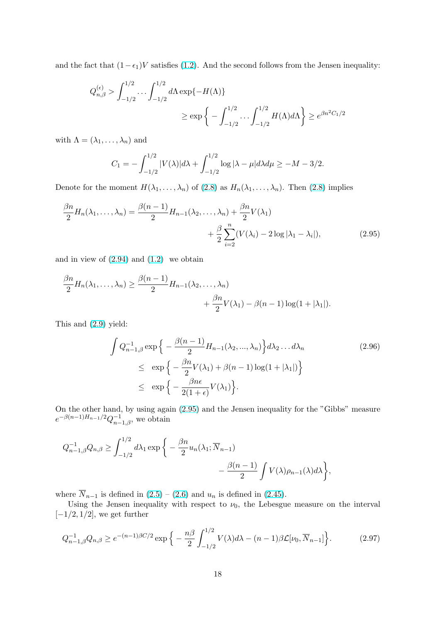<span id="page-17-0"></span>and the fact that  $(1-\epsilon_1)V$  satisfies (1.2). And the second follows from the Jensen inequality:

$$
Q_{n,\beta}^{(\epsilon)} > \int_{-1/2}^{1/2} \dots \int_{-1/2}^{1/2} d\Lambda \exp\{-H(\Lambda)\}\
$$
  

$$
\ge \exp\left\{-\int_{-1/2}^{1/2} \dots \int_{-1/2}^{1/2} H(\Lambda) d\Lambda\right\} \ge e^{\beta n^2 C_1/2}
$$

with  $\Lambda = (\lambda_1, \ldots, \lambda_n)$  and

$$
C_1 = -\int_{-1/2}^{1/2} |V(\lambda)| d\lambda + \int_{-1/2}^{1/2} \log |\lambda - \mu| d\lambda d\mu \ge -M - 3/2.
$$

Denote for the moment  $H(\lambda_1, \ldots, \lambda_n)$  of (2.8) as  $H_n(\lambda_1, \ldots, \lambda_n)$ . Then (2.8) implies

$$
\frac{\beta n}{2}H_n(\lambda_1,\ldots,\lambda_n) = \frac{\beta(n-1)}{2}H_{n-1}(\lambda_2,\ldots,\lambda_n) + \frac{\beta n}{2}V(\lambda_1) + \frac{\beta}{2}\sum_{i=2}^n (V(\lambda_i) - 2\log|\lambda_1 - \lambda_i|),\tag{2.95}
$$

and in view of  $(2.94)$  and  $(1.2)$  we obtain

$$
\frac{\beta n}{2}H_n(\lambda_1,\ldots,\lambda_n) \ge \frac{\beta(n-1)}{2}H_{n-1}(\lambda_2,\ldots,\lambda_n) + \frac{\beta n}{2}V(\lambda_1) - \beta(n-1)\log(1+|\lambda_1|).
$$

This and (2.9) yield:

$$
\int Q_{n-1,\beta}^{-1} \exp\left\{-\frac{\beta(n-1)}{2} H_{n-1}(\lambda_2, ..., \lambda_n)\right\} d\lambda_2 ... d\lambda_n
$$
\n
$$
\leq \exp\left\{-\frac{\beta n}{2} V(\lambda_1) + \beta(n-1) \log(1+|\lambda_1|)\right\}
$$
\n
$$
\leq \exp\left\{-\frac{\beta n\epsilon}{2(1+\epsilon)} V(\lambda_1)\right\}.
$$
\n(2.96)

On the other hand, by using again (2.95) and the Jensen inequality for the "Gibbs" measure  $e^{-\beta(n-1)H_{n-1}/2}Q_{n-1,\beta}^{-1}$ , we obtain

$$
Q_{n-1,\beta}^{-1}Q_{n,\beta} \ge \int_{-1/2}^{1/2} d\lambda_1 \exp\bigg\{-\frac{\beta n}{2}u_n(\lambda_1; \overline{N}_{n-1}) -\frac{\beta(n-1)}{2}\int V(\lambda)\rho_{n-1}(\lambda)d\lambda\bigg\},\,
$$

where  $\overline{N}_{n-1}$  is defined in  $(2.5) - (2.6)$  and  $u_n$  is defined in  $(2.45)$ .

Using the Jensen inequality with respect to  $\nu_0$ , the Lebesgue measure on the interval  $[-1/2, 1/2]$ , we get further

$$
Q_{n-1,\beta}^{-1}Q_{n,\beta} \ge e^{-(n-1)\beta C/2} \exp\Big\{-\frac{n\beta}{2} \int_{-1/2}^{1/2} V(\lambda) d\lambda - (n-1)\beta \mathcal{L}[\nu_0, \overline{N}_{n-1}]\Big\}.
$$
 (2.97)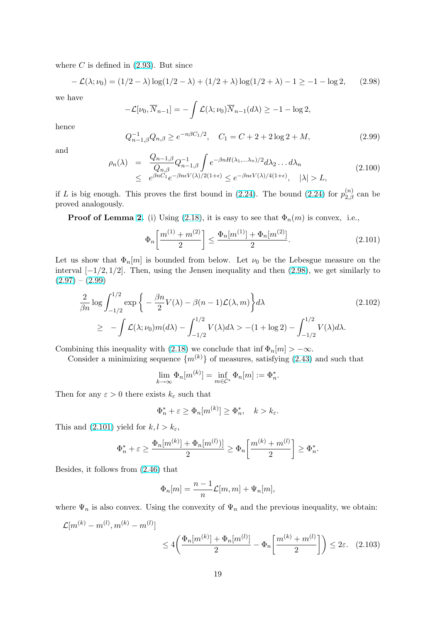<span id="page-18-0"></span>where  $C$  is defined in  $(2.93)$ . But since

$$
-\mathcal{L}(\lambda; \nu_0) = (1/2 - \lambda) \log(1/2 - \lambda) + (1/2 + \lambda) \log(1/2 + \lambda) - 1 \ge -1 - \log 2, \quad (2.98)
$$

we have

$$
-\mathcal{L}[\nu_0, \overline{N}_{n-1}] = -\int \mathcal{L}(\lambda; \nu_0) \overline{N}_{n-1}(d\lambda) \ge -1 - \log 2,
$$

hence

$$
Q_{n-1,\beta}^{-1}Q_{n,\beta} \ge e^{-n\beta C_1/2}, \quad C_1 = C + 2 + 2\log 2 + M,\tag{2.99}
$$

and

$$
\rho_n(\lambda) = \frac{Q_{n-1,\beta}}{Q_{n,\beta}} Q_{n-1,\beta}^{-1} \int e^{-\beta n H(\lambda_1,\dots,\lambda_n)/2} d\lambda_2 \dots d\lambda_n
$$
\n
$$
\leq e^{\beta n C_1} e^{-\beta n \epsilon V(\lambda)/2(1+\epsilon)} \leq e^{-\beta n \epsilon V(\lambda)/4(1+\epsilon)}, \quad |\lambda| > L,
$$
\n(2.100)

if L is big enough. This proves the first bound in (2.24). The bound (2.24) for  $p_{2,\beta}^{(n)}$  can be proved analogously.

**Proof of Lemma 2.** (i) Using (2.18), it is easy to see that  $\Phi_n(m)$  is convex, i.e.,

$$
\Phi_n\left[\frac{m^{(1)} + m^{(2)}}{2}\right] \le \frac{\Phi_n[m^{(1)}] + \Phi_n[m^{(2)}]}{2}.
$$
\n(2.101)

Let us show that  $\Phi_n[m]$  $\Phi_n[m]$  $\Phi_n[m]$  is bounde[d from](#page-3-0) below. Let  $\nu_0$  be the Lebesgue measure on the interval  $[-1/2, 1/2]$ . Then, using the Jensen inequality and then (2.98), we get similarly to  $(2.97) - (2.99)$ 

$$
\frac{2}{\beta n} \log \int_{-1/2}^{1/2} \exp \left\{ -\frac{\beta n}{2} V(\lambda) - \beta (n-1) \mathcal{L}(\lambda, m) \right\} d\lambda \tag{2.102}
$$
\n
$$
\geq -\int \mathcal{L}(\lambda; \nu_0) m(d\lambda) - \int_{-1/2}^{1/2} V(\lambda) d\lambda > -(1 + \log 2) - \int_{-1/2}^{1/2} V(\lambda) d\lambda.
$$

Combining this inequality with (2.18) we conclude that inf  $\Phi_n[m] > -\infty$ .

Consider a minimizing sequence  $\{m^{(k)}\}$  of measures, satisfying (2.43) and such that

$$
\lim_{k \to \infty} \Phi_n[m^{(k)}] = \inf_{m \in \mathcal{C}^*} \Phi_n[m] := \Phi_n^*.
$$

Then for any  $\varepsilon > 0$  there exists  $k_{\varepsilon}$  such that

$$
\Phi_n^* + \varepsilon \ge \Phi_n[m^{(k)}] \ge \Phi_n^*, \quad k > k_{\varepsilon}.
$$

This and (2.101) yield for  $k, l > k_{\varepsilon}$ ,

$$
\Phi_n^* + \varepsilon \ge \frac{\Phi_n[m^{(k)}] + \Phi_n[m^{(l)})]}{2} \ge \Phi_n\left[\frac{m^{(k)} + m^{(l)}}{2}\right] \ge \Phi_n^*.
$$

Besides, it follows from (2.46) that

$$
\Phi_n[m] = \frac{n-1}{n} \mathcal{L}[m, m] + \Psi_n[m],
$$

where  $\Psi_n$  is also convex[. Usin](#page-8-0)g the convexity of  $\Psi_n$  and the previous inequality, we obtain:

$$
\mathcal{L}[m^{(k)} - m^{(l)}, m^{(k)} - m^{(l)}] \le 4 \left( \frac{\Phi_n[m^{(k)}] + \Phi_n[m^{(l)}]}{2} - \Phi_n \left[ \frac{m^{(k)} + m^{(l)}}{2} \right] \right) \le 2\varepsilon. \quad (2.103)
$$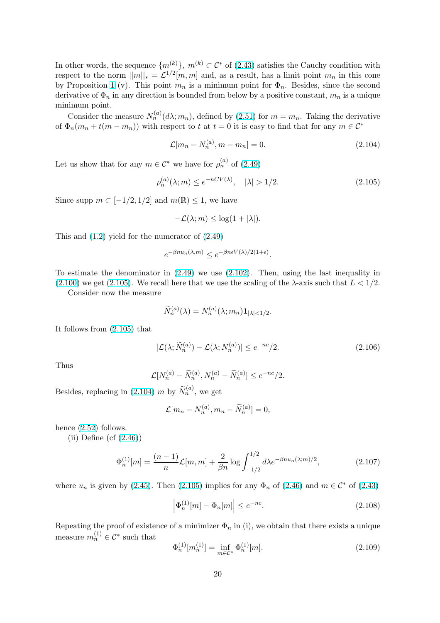<span id="page-19-0"></span>In other words, the sequence  $\{m^{(k)}\}, m^{(k)} \subset \mathcal{C}^*$  of (2.43) satisfies the Cauchy condition with respect to the norm  $||m||_* = \mathcal{L}^{1/2}[m,m]$  and, as a result, has a limit point  $m_n$  in this cone by Proposition 1 (v). This point  $m_n$  is a minimum point for  $\Phi_n$ . Besides, since the second derivative of  $\Phi_n$  in any direction is bounded from be[low b](#page-8-0)y a positive constant,  $m_n$  is a unique minimum point.

Consider the measure  $N_n^{(a)}(d\lambda; m_n)$ , defined by (2.51) for  $m = m_n$ . Taking the derivative of  $\Phi_n(m_n + t(m - m_n))$  $\Phi_n(m_n + t(m - m_n))$  $\Phi_n(m_n + t(m - m_n))$  with respect to t at  $t = 0$  it is easy to find that for any  $m \in \mathcal{C}^*$ 

$$
\mathcal{L}[m_n - N_n^{(a)}, m - m_n] = 0. \tag{2.104}
$$

Let us show that for any  $m \in \mathcal{C}^*$  we have for  $\rho_n^{(a)}$  of  $(2.49)$ 

$$
\rho_n^{(a)}(\lambda; m) \le e^{-nCV(\lambda)}, \quad |\lambda| > 1/2. \tag{2.105}
$$

Since supp  $m \subset [-1/2, 1/2]$  and  $m(\mathbb{R}) \leq 1$ , we have

$$
-\mathcal{L}(\lambda; m) \leq \log(1 + |\lambda|).
$$

This and  $(1.2)$  yield for the numerator of  $(2.49)$ 

$$
e^{-\beta nu_n(\lambda,m)} \le e^{-\beta n \epsilon V(\lambda)/2(1+\epsilon)}.
$$

To estima[te t](#page-0-0)he denominator in (2.49) w[e use](#page-8-0) (2.102). Then, using the last inequality in

 $(2.100)$  we get  $(2.105)$ . We recall here that we use the scaling of the  $\lambda$ -axis such that  $L < 1/2$ .

Consider now the measure

$$
\widetilde{N}_n^{(a)}(\lambda) = N_n^{(a)}(\lambda; m_n) \mathbf{1}_{|\lambda| < 1/2}.
$$

It follows from (2.105) that

$$
|\mathcal{L}(\lambda; \widetilde{N}_n^{(a)}) - \mathcal{L}(\lambda; N_n^{(a)})| \le e^{-nc}/2.
$$
 (2.106)

Thus

$$
\mathcal{L}[N_n^{(a)} - \widetilde{N}_n^{(a)}, N_n^{(a)} - \widetilde{N}_n^{(a)}] \le e^{-nc}/2.
$$

Besides, replacing in (2.104) m by  $\widetilde{N}_n^{(a)}$ , we get

$$
\mathcal{L}[m_n - N_n^{(a)}, m_n - \widetilde{N}_n^{(a)}] = 0,
$$

hence (2.52) follows.

(ii) Define (cf  $(2.46)$ )

$$
\Phi_n^{(1)}[m] = \frac{(n-1)}{n} \mathcal{L}[m,m] + \frac{2}{\beta n} \log \int_{-1/2}^{1/2} d\lambda e^{-\beta nu_n(\lambda;m)/2},\tag{2.107}
$$

where  $u_n$  is given by (2.45). Then (2.105) implies for any  $\Phi_n$  of (2.46) and  $m \in \mathcal{C}^*$  of (2.43)

$$
\left|\Phi_n^{(1)}[m] - \Phi_n[m]\right| \le e^{-nc}.\tag{2.108}
$$

Repeating the proof o[f exis](#page-8-0)tence of a minimizer  $\Phi_n$  in (i), we obta[in tha](#page-8-0)t there exists a [uniqu](#page-8-0)e measure  $m_n^{(1)} \in \mathcal{C}^*$  such that

$$
\Phi_n^{(1)}[m_n^{(1)}] = \inf_{m \in \mathcal{C}^*} \Phi_n^{(1)}[m].\tag{2.109}
$$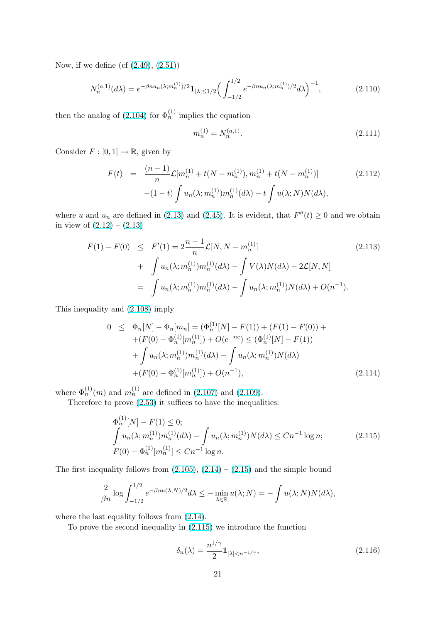<span id="page-20-0"></span>Now, if we define (cf (2.49), (2.51))

$$
N_n^{(a,1)}(d\lambda) = e^{-\beta nu_n(\lambda; m_n^{(1)})/2} \mathbf{1}_{|\lambda| \le 1/2} \left( \int_{-1/2}^{1/2} e^{-\beta nu_n(\lambda; m_n^{(1)})/2} d\lambda \right)^{-1},\tag{2.110}
$$

then the analog of  $(2.104)$  for  $\Phi_n^{(1)}$  implies the equation

$$
m_n^{(1)} = N_n^{(a,1)}.\t\t(2.111)
$$

Consider  $F : [0,1] \to \mathbb{R}$ [, g](#page-19-0)iven by

$$
F(t) = \frac{(n-1)}{n} \mathcal{L}[m_n^{(1)} + t(N - m_n^{(1)}), m_n^{(1)} + t(N - m_n^{(1)})]
$$
(2.112)  

$$
-(1-t) \int u_n(\lambda; m_n^{(1)}) m_n^{(1)}(d\lambda) - t \int u(\lambda; N) N(d\lambda),
$$

where u and  $u_n$  are defined in (2.13) and (2.45). It is evident, that  $F''(t) \ge 0$  and we obtain in view of  $(2.12) - (2.13)$ 

$$
F(1) - F(0) \leq F'(1) = 2\frac{n-1}{n} \mathcal{L}[N, N - m_n^{(1)}]
$$
\n
$$
+ \int u_n(\lambda; m_n^{(1)}) m_n^{(1)}(d\lambda) - \int V(\lambda)N(d\lambda) - 2\mathcal{L}[N, N]
$$
\n
$$
= \int u_n(\lambda; m_n^{(1)}) m_n^{(1)}(d\lambda) - \int u_n(\lambda; m_n^{(1)}) N(d\lambda) + O(n^{-1}).
$$
\n(2.113)

This inequality and (2.108) imply

$$
0 \leq \Phi_n[N] - \Phi_n[m_n] = (\Phi_n^{(1)}[N] - F(1)) + (F(1) - F(0)) +
$$
  
+ 
$$
(F(0) - \Phi_n^{(1)}[m_n^{(1)}]) + O(e^{-nc}) \leq (\Phi_n^{(1)}[N] - F(1))
$$
  
+ 
$$
\int u_n(\lambda; m_n^{(1)}) m_n^{(1)}(d\lambda) - \int u_n(\lambda; m_n^{(1)}) N(d\lambda)
$$
  
+ 
$$
(F(0) - \Phi_n^{(1)}[m_n^{(1)}]) + O(n^{-1}),
$$
 (2.114)

where  $\Phi_n^{(1)}(m)$  and  $m_n^{(1)}$  are defined in (2.107) and (2.109).

Therefore to prove (2.53) it suffices to have the inequalities:

$$
\Phi_n^{(1)}[N] - F(1) \le 0; \n\int u_n(\lambda; m_n^{(1)}) m_n^{(1)}(d\lambda) - \int u_n(\lambda; m_n^{(1)}) N(d\lambda) \le Cn^{-1} \log n; \nF(0) - \Phi_n^{(1)}[m_n^{(1)}] \le Cn^{-1} \log n.
$$
\n(2.115)

The first inequality follows from  $(2.105)$ ,  $(2.14) - (2.15)$  and the simple bound

$$
\frac{2}{\beta n} \log \int_{-1/2}^{1/2} e^{-\beta nu(\lambda;N)/2} d\lambda \leq -\min_{\lambda \in \mathbb{R}} u(\lambda;N) = -\int u(\lambda;N) N(d\lambda),
$$

where the last equality follows from  $(2.14)$ .

To prove the second inequality in (2.115) we introduce the function

$$
\delta_n(\lambda) = \frac{n^{1/\gamma}}{2} \mathbf{1}_{|\lambda| < n^{-1/\gamma}},\tag{2.116}
$$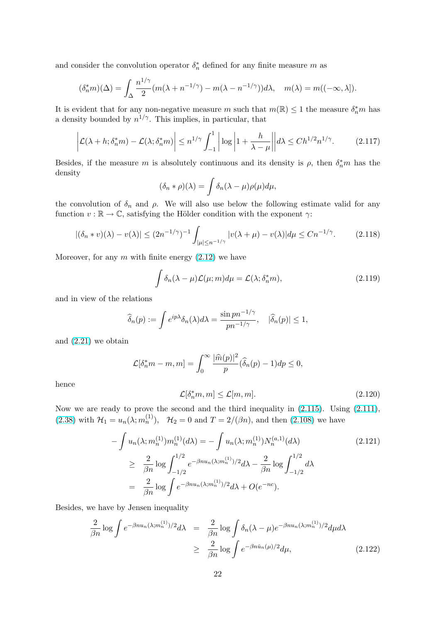<span id="page-21-0"></span>and consider the convolution operator  $\delta_n^*$  defined for any finite measure m as

$$
(\delta_n^* m)(\Delta) = \int_{\Delta} \frac{n^{1/\gamma}}{2} (m(\lambda + n^{-1/\gamma}) - m(\lambda - n^{-1/\gamma})) d\lambda, \quad m(\lambda) = m((-\infty, \lambda]).
$$

It is evident that for any non-negative measure m such that  $m(\mathbb{R}) \leq 1$  the measure  $\delta_n^* m$  has a density bounded by  $n^{1/\gamma}$ . This implies, in particular, that

$$
\left| \mathcal{L}(\lambda + h; \delta_n^* m) - \mathcal{L}(\lambda; \delta_n^* m) \right| \le n^{1/\gamma} \int_{-1}^1 \left| \log \left| 1 + \frac{h}{\lambda - \mu} \right| \right| d\lambda \le C h^{1/2} n^{1/\gamma}.
$$
 (2.117)

Besides, if the measure m is absolutely continuous and its density is  $\rho$ , then  $\delta_n^* m$  has the density

$$
(\delta_n * \rho)(\lambda) = \int \delta_n(\lambda - \mu)\rho(\mu)d\mu,
$$

the convolution of  $\delta_n$  and  $\rho$ . We will also use below the following estimate valid for any function  $v : \mathbb{R} \to \mathbb{C}$ , satisfying the Hölder condition with the exponent  $\gamma$ :

$$
|(\delta_n * v)(\lambda) - v(\lambda)| \le (2n^{-1/\gamma})^{-1} \int_{|\mu| \le n^{-1/\gamma}} |v(\lambda + \mu) - v(\lambda)| d\mu \le Cn^{-1/\gamma}.
$$
 (2.118)

Moreover, for any  $m$  with finite energy  $(2.12)$  we have

$$
\int \delta_n(\lambda - \mu) \mathcal{L}(\mu; m) d\mu = \mathcal{L}(\lambda; \delta_n^* m), \tag{2.119}
$$

and in view of the relations

$$
\widehat{\delta}_n(p) := \int e^{ip\lambda} \delta_n(\lambda) d\lambda = \frac{\sin pn^{-1/\gamma}}{pn^{-1/\gamma}}, \quad |\widehat{\delta}_n(p)| \le 1,
$$

and (2.21) we obtain

$$
\mathcal{L}[\delta_n^* m - m, m] = \int_0^\infty \frac{|\widehat{m}(p)|^2}{p} (\widehat{\delta}_n(p) - 1) dp \le 0,
$$

henc[e](#page-4-0)

$$
\mathcal{L}[\delta_n^* m, m] \le \mathcal{L}[m, m]. \tag{2.120}
$$

Now we are ready to prove the second and the third inequality in (2.115). Using (2.111), (2.38) with  $H_1 = u_n(\lambda; m_n^{(1)})$ ,  $H_2 = 0$  and  $T = 2/(\beta n)$ , and then (2.108) we have

$$
-\int u_n(\lambda; m_n^{(1)})m_n^{(1)}(d\lambda) = -\int u_n(\lambda; m_n^{(1)})N_n^{(a,1)}(d\lambda)
$$
(2.121)  

$$
\geq \frac{2}{\beta n} \log \int_{-1/2}^{1/2} e^{-\beta nu_n(\lambda; m_n^{(1)})/2} d\lambda - \frac{2}{\beta n} \log \int_{-1/2}^{1/2} d\lambda
$$
  

$$
= \frac{2}{\beta n} \log \int e^{-\beta nu_n(\lambda; m_n^{(1)})/2} d\lambda + O(e^{-nc}).
$$

Besides, we have by Jensen inequality

$$
\frac{2}{\beta n} \log \int e^{-\beta n u_n(\lambda; m_n^{(1)})/2} d\lambda = \frac{2}{\beta n} \log \int \delta_n(\lambda - \mu) e^{-\beta n u_n(\lambda; m_n^{(1)})/2} d\mu d\lambda
$$
  

$$
\geq \frac{2}{\beta n} \log \int e^{-\beta n \check{u}_n(\mu)/2} d\mu,
$$
 (2.122)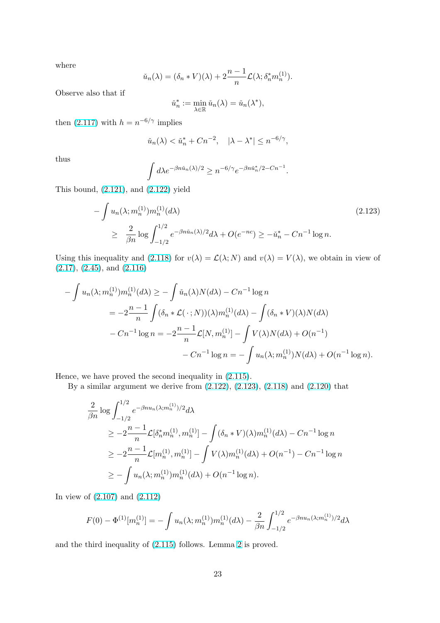where

$$
\check{u}_n(\lambda) = (\delta_n * V)(\lambda) + 2\frac{n-1}{n} \mathcal{L}(\lambda; \delta_n^* m_n^{(1)}).
$$

Observe also that if

$$
\check{u}_n^* := \min_{\lambda \in \mathbb{R}} \check{u}_n(\lambda) = \check{u}_n(\lambda^*),
$$

then (2.117) with  $h = n^{-6/\gamma}$  implies

$$
\check{u}_n(\lambda) < \check{u}_n^* + Cn^{-2}, \quad |\lambda - \lambda^*| \le n^{-6/\gamma},
$$

thus

$$
\int d\lambda e^{-\beta n \check{u}_n(\lambda)/2} \ge n^{-6/\gamma} e^{-\beta n \check{u}_n^*/2 - Cn^{-1}}.
$$

This bound, (2.121), and (2.122) yield

$$
-\int u_n(\lambda; m_n^{(1)}) m_n^{(1)}(d\lambda)
$$
\n
$$
\geq \frac{2}{\beta n} \log \int_{-1/2}^{1/2} e^{-\beta n \check{u}_n(\lambda)/2} d\lambda + O(e^{-nc}) \geq -\check{u}_n^* - Cn^{-1} \log n.
$$
\n(2.123)

Using this inequality and (2.118) for  $v(\lambda) = \mathcal{L}(\lambda; N)$  and  $v(\lambda) = V(\lambda)$ , we obtain in view of  $(2.17), (2.45), \text{ and } (2.116)$ 

$$
-\int u_n(\lambda; m_n^{(1)})m_n^{(1)}(d\lambda) \ge -\int \check{u}_n(\lambda)N(d\lambda) - Cn^{-1}\log n
$$
  
=  $-2\frac{n-1}{n}\int (\delta_n * \mathcal{L}(\cdot; N))(\lambda)m_n^{(1)}(d\lambda) - \int (\delta_n * V)(\lambda)N(d\lambda)$   
 $- Cn^{-1}\log n = -2\frac{n-1}{n}\mathcal{L}[N, m_n^{(1)}] - \int V(\lambda)N(d\lambda) + O(n^{-1})$   
 $- Cn^{-1}\log n = -\int u_n(\lambda; m_n^{(1)})N(d\lambda) + O(n^{-1}\log n).$ 

Hence, we have proved the second inequality in (2.115).

By a similar argument we derive from (2.122), (2.123), (2.118) and (2.120) that

$$
\frac{2}{\beta n} \log \int_{-1/2}^{1/2} e^{-\beta n u_n(\lambda; m_n^{(1)})/2} d\lambda
$$
  
\n
$$
\geq -2 \frac{n-1}{n} \mathcal{L}[\delta_n^* m_n^{(1)}, m_n^{(1)}] - \int (\delta_n * V)(\lambda) m_n^{(1)}(d\lambda) - Cn^{-1} \log n
$$
  
\n
$$
\geq -2 \frac{n-1}{n} \mathcal{L}[m_n^{(1)}, m_n^{(1)}] - \int V(\lambda) m_n^{(1)}(d\lambda) + O(n^{-1}) - Cn^{-1} \log n
$$
  
\n
$$
\geq -\int u_n(\lambda; m_n^{(1)}) m_n^{(1)}(d\lambda) + O(n^{-1} \log n).
$$

In view of (2.107) and (2.112)

$$
F(0) - \Phi^{(1)}[m_n^{(1)}] = -\int u_n(\lambda; m_n^{(1)})m_n^{(1)}(d\lambda) - \frac{2}{\beta n} \int_{-1/2}^{1/2} e^{-\beta nu_n(\lambda; m_n^{(1)})/2} d\lambda
$$

and the third inequality of (2.115) follows. Lemma 2 is proved.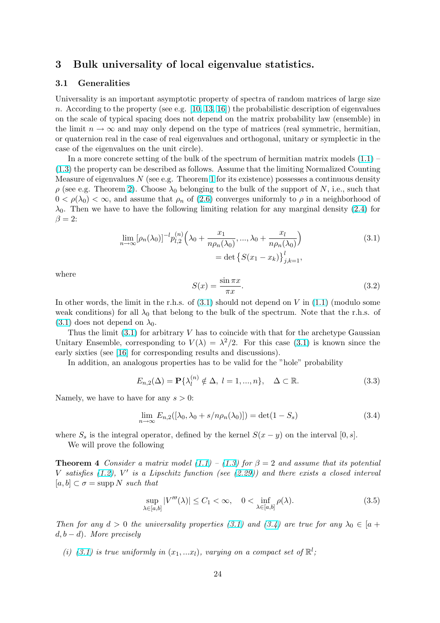# <span id="page-23-0"></span>3 Bulk universality of local eigenvalue statistics.

### 3.1 Generalities

Universality is an important asymptotic property of spectra of random matrices of large size n. According to the property (see e.g.  $[10, 13, 16]$ ) the probabilistic description of eigenvalues on the scale of typical spacing does not depend on the matrix probability law (ensemble) in the limit  $n \to \infty$  and may only depend on the type of matrices (real symmetric, hermitian, or quaternion real in the case of real eigen[valu](#page-40-0)[es a](#page-41-0)nd orthogonal, unitary or symplectic in the case of the eigenvalues on the unit cir[cle\).](#page-40-0)

In a more concrete setting of the bulk of the spectrum of hermitian matrix models  $(1.1)$  – (1.3) the property can be described as follows. Assume that the limiting Normalized Counting Measure of eigenvalues  $N$  (see e.g. Theorem 1 for its existence) possesses a continuous density  $ρ$  (see e.g. Theorem 2). Choose  $λ_0$  belonging to the bulk of the support of N, i.e., such that  $0 < \rho(\lambda_0) < \infty$ , and assume that  $\rho_n$  of (2.6) converges uniformly to  $\rho$  in a neighborh[ood](#page-0-0) of  $\lambda_0$ [.](#page-0-0) Then we have to have the following li[mit](#page-5-0)ing relation for any marginal density (2.4) for  $\beta = 2$ :

$$
\lim_{n \to \infty} [\rho_n(\lambda_0)]^{-l} p_{l,2}^{(n)} \left( \lambda_0 + \frac{x_1}{n \rho_n(\lambda_0)}, \dots, \lambda_0 + \frac{x_l}{n \rho_n(\lambda_0)} \right) \n= \det \left\{ S(x_1 - x_k) \right\}_{j,k=1}^l,
$$
\n(3.1)

where

$$
S(x) = \frac{\sin \pi x}{\pi x}.
$$
\n(3.2)

In other words, the limit in the r.h.s. of  $(3.1)$  should not depend on V in  $(1.1)$  (modulo some weak conditions) for all  $\lambda_0$  that belong to the bulk of the spectrum. Note that the r.h.s. of  $(3.1)$  does not depend on  $\lambda_0$ .

Thus the limit  $(3.1)$  for arbitrary V has to coincide with that for the archetype Gaussian Unitary Ensemble, corresponding to  $V(\lambda) = \lambda^2/2$ . For this case (3.1) [is k](#page-0-0)nown since the early sixties (see [16] for corresponding results and discussions).

In addition, an analogous properties has to be valid for the "hole" probability

$$
E_{n,2}(\Delta) = \mathbf{P}\{\lambda_l^{(n)} \notin \Delta, l = 1, ..., n\}, \quad \Delta \subset \mathbb{R}.
$$
 (3.3)

Namely, we have to have for any  $s > 0$ :

$$
\lim_{n \to \infty} E_{n,2}([\lambda_0, \lambda_0 + s/n\rho_n(\lambda_0)]) = \det(1 - S_s)
$$
\n(3.4)

where  $S_s$  is the integral operator, defined by the kernel  $S(x - y)$  on the interval [0, s].

We will prove the following

**Theorem 4** Consider a matrix model  $(1.1) - (1.3)$  for  $\beta = 2$  and assume that its potential V satisfies  $(1.2)$ , V' is a Lipschitz function (see  $(2.29)$ ) and there exists a closed interval  $[a, b] \subset \sigma = \text{supp } N \text{ such that}$ 

$$
\sup_{\lambda \in [a,b]} |V'''(\lambda)| \le C_1 < \infty, \quad 0 < \inf_{\lambda \in [a,b]} \rho(\lambda). \tag{3.5}
$$

Then for any  $d > 0$  the universality properties (3.1) and (3.4) are true for any  $\lambda_0 \in [a +$  $d, b - d$ ). More precisely

(i) (3.1) is true uniformly in  $(x_1,...x_l)$ , varying on a compact set of  $\mathbb{R}^l$ ;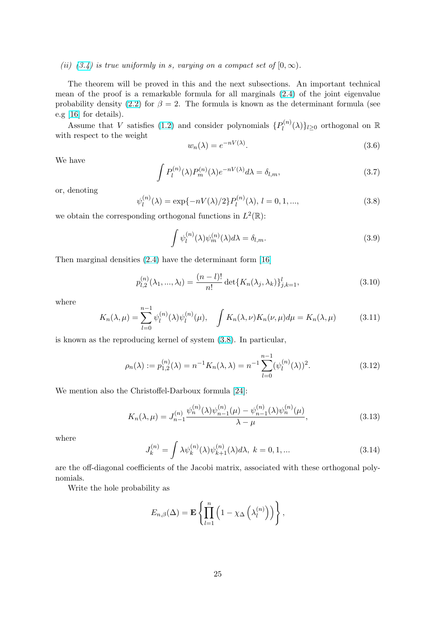<span id="page-24-0"></span>(ii) (3.4) is true uniformly in s, varying on a compact set of  $[0, \infty)$ .

The theorem will be proved in this and the next subsections. An important technical mean of the proof is a remarkable formula for all marginals (2.4) of the joint eigenvalue proba[bility](#page-23-0) density (2.2) for  $\beta = 2$ . The formula is known as the determinant formula (see e.g [16] for details).

Assume that V satisfies (1.2) and consider polynomials  $\{P_l^{(n)}\}$  $\ell_l^{(n)}(\lambda)\}_{l\geq 0}$  $\ell_l^{(n)}(\lambda)\}_{l\geq 0}$  $\ell_l^{(n)}(\lambda)\}_{l\geq 0}$  orthogonal on R with respect to the [weig](#page-1-0)ht

$$
w_n(\lambda) = e^{-nV(\lambda)}.\tag{3.6}
$$

We have

$$
\int P_l^{(n)}(\lambda)P_m^{(n)}(\lambda)e^{-nV(\lambda)}d\lambda = \delta_{l,m},\tag{3.7}
$$

or, denoting

$$
\psi_l^{(n)}(\lambda) = \exp\{-nV(\lambda)/2\} P_l^{(n)}(\lambda), \ l = 0, 1, ..., \tag{3.8}
$$

we obtain the corresponding orthogonal functions in  $L^2(\mathbb{R})$ :

$$
\int \psi_l^{(n)}(\lambda)\psi_m^{(n)}(\lambda)d\lambda = \delta_{l,m}.
$$
\n(3.9)

Then marginal densities (2.4) have the determinant form [16]

$$
p_{l,2}^{(n)}(\lambda_1, ..., \lambda_l) = \frac{(n-l)!}{n!} \det\{K_n(\lambda_j, \lambda_k)\}_{j,k=1}^l,
$$
\n(3.10)

where

$$
K_n(\lambda,\mu) = \sum_{l=0}^{n-1} \psi_l^{(n)}(\lambda)\psi_l^{(n)}(\mu), \quad \int K_n(\lambda,\nu)K_n(\nu,\mu)d\mu = K_n(\lambda,\mu) \tag{3.11}
$$

is known as the reproducing kernel of system (3.8). In particular,

$$
\rho_n(\lambda) := p_{1,2}^{(n)}(\lambda) = n^{-1} K_n(\lambda, \lambda) = n^{-1} \sum_{l=0}^{n-1} (\psi_l^{(n)}(\lambda))^2.
$$
 (3.12)

We mention also the Christoffel-Darboux formula [24]:

$$
K_n(\lambda, \mu) = J_{n-1}^{(n)} \frac{\psi_n^{(n)}(\lambda)\psi_{n-1}^{(n)}(\mu) - \psi_{n-1}^{(n)}(\lambda)\psi_n^{(n)}(\mu)}{\lambda - \mu},
$$
\n(3.13)

where

$$
J_k^{(n)} = \int \lambda \psi_k^{(n)}(\lambda) \psi_{k+1}^{(n)}(\lambda) d\lambda, \ k = 0, 1, \dots
$$
 (3.14)

are the off-diagonal coefficients of the Jacobi matrix, associated with these orthogonal polynomials.

Write the hole probability as

$$
E_{n,\beta}(\Delta) = \mathbf{E} \left\{ \prod_{l=1}^n \left( 1 - \chi_{\Delta} \left( \lambda_l^{(n)} \right) \right) \right\},\,
$$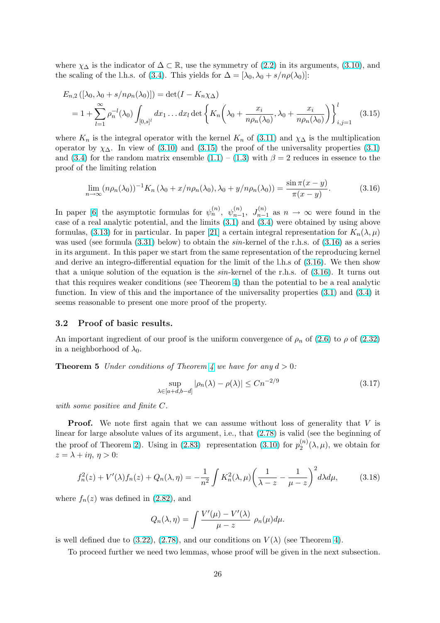<span id="page-25-0"></span>where  $\chi_{\Delta}$  is the indicator of  $\Delta \subset \mathbb{R}$ , use the symmetry of (2.2) in its arguments, (3.10), and the scaling of the l.h.s. of (3.4). This yields for  $\Delta = [\lambda_0, \lambda_0 + s/n\rho(\lambda_0)]$ :

$$
E_{n,2}([\lambda_0, \lambda_0 + s/n\rho_n(\lambda_0)]) = \det(I - K_n\chi_\Delta)
$$
  
=  $1 + \sum_{l=1}^{\infty} \rho_n^{-l}(\lambda_0) \int_{[0,s]^l} dx_1 \dots dx_l \det \left\{ K_n \left( \lambda_0 + \frac{x_i}{n\rho_n(\lambda_0)}, \lambda_0 + \frac{x_i}{n\rho_n(\lambda_0)} \right) \right\}_{i,j=1}^l$  (3.15)

where  $K_n$  is the integral operator with the kernel  $K_n$  of (3.11) and  $\chi_{\Delta}$  is the multiplication operator by  $\chi_{\Delta}$ . In view of (3.10) and (3.15) the proof of the universality properties (3.1) and (3.4) for the random matrix ensemble  $(1.1) - (1.3)$  with  $\beta = 2$  reduces in essence to the proof of the limiting relation

$$
\lim_{n \to \infty} (n\rho_n(\lambda_0))^{-1} K_n(\lambda_0 + x/n\rho_n(\lambda_0), \lambda_0 + y/n\rho_n(\lambda_0)) = \frac{\sin \pi (x - y)}{\pi (x - y)}.
$$
\n(3.16)

In paper [6] the asymptotic formulas for  $\psi_n^{(n)}$ ,  $\psi_{n-1}^{(n)}$ ,  $J_{n-1}^{(n)}$  as  $n \to \infty$  were found in the case of a real analytic potential, and the limits (3.1) and (3.4) were obtained by using above formulas, (3.13) for in particular. In paper [21] a certain integral representation for  $K_n(\lambda,\mu)$ was used (see formula  $(3.31)$  below) to obtain the sin-kernel of the r.h.s. of  $(3.16)$  as a series in its argu[m](#page-40-0)ent. In this paper we start from the same representation of the reproducing kernel and derive an integro-differential equation for t[he li](#page-23-0)mit o[f the](#page-23-0) l.h.s of (3.16). We then show that a uni[que s](#page-24-0)olution of t[he](#page-41-0) equation is the  $sin$ -kernel of the r.h.s. of  $(3.16)$ . It turns out that this requires weak[er co](#page-27-0)nditions (see Theorem 4) than the potential to be a real analytic function. In view of this and the importance of the universality properties (3.1) and (3.4) it seems reasonable to present one more proof of the property.

#### 3.2 Proof of basic results.

An important ingredient of our proof is the uniform convergence of  $\rho_n$  of (2.6) to  $\rho$  of (2.32) in a neighborhood of  $\lambda_0$ .

**Theorem 5** Under conditions of Theorem 4 we have for any  $d > 0$ :

$$
\sup_{\lambda \in [a+d,b-d]} |\rho_n(\lambda) - \rho(\lambda)| \le Cn^{-2/9}
$$
\n(3.17)

with some positive and finite C.

**Proof.** We note first again that we can assume without loss of generality that V is linear for large absolute values of its argument, i.e., that (2.78) is valid (see the beginning of the proof of Theorem 2). Using in (2.83) representation (3.10) for  $p_2^{(n)}$  $\binom{n}{2}(\lambda,\mu)$ , we obtain for  $z = \lambda + i\eta, \, \eta > 0$ :

$$
f_n^2(z) + V'(\lambda)f_n(z) + Q_n(\lambda, \eta) = -\frac{1}{n^2} \int K_n^2(\lambda, \mu) \left(\frac{1}{\lambda - z} - \frac{1}{\mu - z}\right)^2 d\lambda d\mu, \tag{3.18}
$$

where  $f_n(z)$  was defined in (2.82), and

$$
Q_n(\lambda, \eta) = \int \frac{V'(\mu) - V'(\lambda)}{\mu - z} \, \rho_n(\mu) d\mu.
$$

is well defined due to (3.22)[, \(2.7](#page-13-0)8), and our conditions on  $V(\lambda)$  (see Theorem 4).

To proceed further we need two lemmas, whose proof will be given in the next subsection.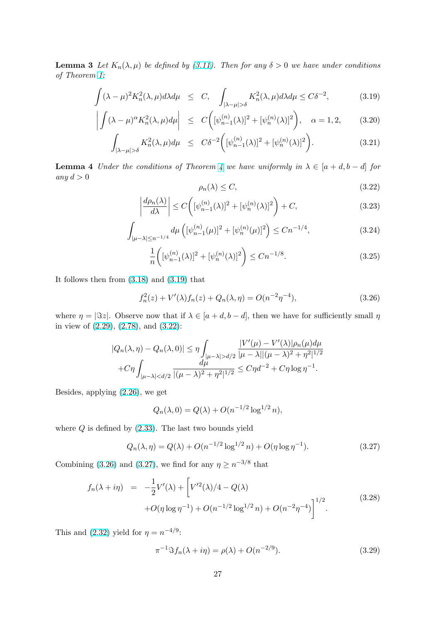<span id="page-26-0"></span>**Lemma 3** Let  $K_n(\lambda, \mu)$  be defined by (3.11). Then for any  $\delta > 0$  we have under conditions of Theorem 1:

$$
\int (\lambda - \mu)^2 K_n^2(\lambda, \mu) d\lambda d\mu \le C, \quad \int_{|\lambda - \mu| > \delta} K_n^2(\lambda, \mu) d\lambda d\mu \le C\delta^{-2}, \tag{3.19}
$$

$$
\left| \int (\lambda - \mu)^{\alpha} K_n^2(\lambda, \mu) d\mu \right| \le C \left( [\psi_{n-1}^{(n)}(\lambda)]^2 + [\psi_n^{(n)}(\lambda)]^2 \right), \quad \alpha = 1, 2, \quad (3.20)
$$

$$
\int_{|\lambda-\mu|>\delta} K_n^2(\lambda,\mu)d\mu \le C\delta^{-2}\bigg([\psi_{n-1}^{(n)}(\lambda)]^2 + [\psi_n^{(n)}(\lambda)]^2\bigg). \tag{3.21}
$$

**Lemma 4** Under the conditions of Theorem 4 we have uniformly in  $\lambda \in [a+d, b-d]$  for any  $d > 0$ 

$$
\rho_n(\lambda) \le C,\tag{3.22}
$$

$$
\left|\frac{d\rho_n(\lambda)}{d\lambda}\right| \le C\left([\psi_{n-1}^{(n)}(\lambda)]^2 + [\psi_n^{(n)}(\lambda)]^2\right) + C,\tag{3.23}
$$

$$
\int_{|\mu-\lambda| \le n^{-1/4}} d\mu \left( [\psi_{n-1}^{(n)}(\mu)]^2 + [\psi_n^{(n)}(\mu)]^2 \right) \le Cn^{-1/4},\tag{3.24}
$$

$$
\frac{1}{n} \left( [\psi_{n-1}^{(n)}(\lambda)]^2 + [\psi_n^{(n)}(\lambda)]^2 \right) \le Cn^{-1/8}.
$$
\n(3.25)

It follows then from (3.18) and (3.19) that

$$
f_n^2(z) + V'(\lambda)f_n(z) + Q_n(\lambda, \eta) = O(n^{-2}\eta^{-4}),
$$
\n(3.26)

where  $\eta = |\Im z|$ . Obs[erve n](#page-25-0)ow that if  $\lambda \in [a+d, b-d]$ , then we have for sufficiently small  $\eta$ in view of (2.29), (2.78), and (3.22):

$$
|Q_n(\lambda, \eta) - Q_n(\lambda, 0)| \le \eta \int_{|\mu - \lambda| > d/2} \frac{|V'(\mu) - V'(\lambda)| \rho_n(\mu) d\mu}{|\mu - \lambda| |(\mu - \lambda)^2 + \eta^2|^{1/2}} + C\eta \int_{|\mu - \lambda| < d/2} \frac{d\mu}{|(\mu - \lambda)^2 + \eta^2|^{1/2}} \le C\eta d^{-2} + C\eta \log \eta^{-1}.
$$

Besides, applying (2.26), we get

$$
Q_n(\lambda, 0) = Q(\lambda) + O(n^{-1/2} \log^{1/2} n),
$$

where  $Q$  is defined by  $(2.33)$ . The last two bounds yield

$$
Q_n(\lambda, \eta) = Q(\lambda) + O(n^{-1/2} \log^{1/2} n) + O(\eta \log \eta^{-1}).
$$
\n(3.27)

Combining (3.26) and [\(3.27\)](#page-6-0), we find for any  $\eta \geq n^{-3/8}$  that

$$
f_n(\lambda + i\eta) = -\frac{1}{2}V'(\lambda) + \left[V'^2(\lambda)/4 - Q(\lambda) + O(\eta \log \eta^{-1}) + O(n^{-1/2}\log^{1/2} n) + O(n^{-2}\eta^{-4})\right]^{1/2}.
$$
\n(3.28)

This and (2.32) yield for  $\eta = n^{-4/9}$ :

$$
\pi^{-1} \Im f_n(\lambda + i\eta) = \rho(\lambda) + O(n^{-2/9}).
$$
\n(3.29)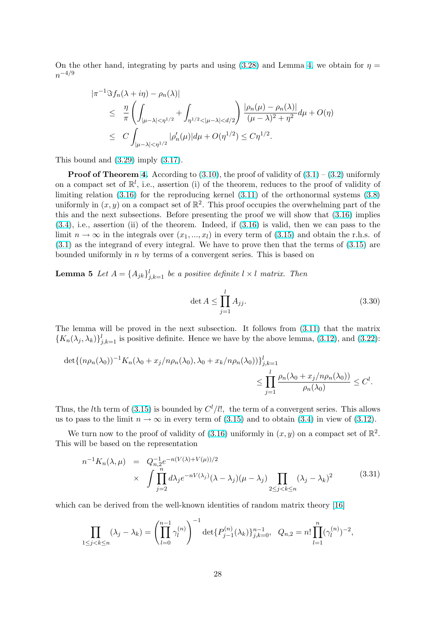<span id="page-27-0"></span>On the other hand, integrating by parts and using  $(3.28)$  and Lemma 4, we obtain for  $\eta =$  $n^{-4/9}$ 

$$
\begin{split} |\pi^{-1} \Im f_n(\lambda + i\eta) - \rho_n(\lambda)| \\ &\leq \frac{\eta}{\pi} \left( \int_{|\mu - \lambda| < \eta^{1/2}} + \int_{\eta^{1/2} < |\mu - \lambda| < d/2} \right) \frac{|\rho_n(\mu) - \rho_n(\lambda)|}{(\mu - \lambda)^2 + \eta^2} d\mu + O(\eta) \\ &\leq C \int_{|\mu - \lambda| < \eta^{1/2}} |\rho_n'(\mu)| d\mu + O(\eta^{1/2}) \leq C \eta^{1/2}. \end{split}
$$

This bound and (3.29) imply (3.17).

**Proof of Theorem 4.** According to  $(3.10)$ , the proof of validity of  $(3.1) - (3.2)$  uniformly on a compact set of  $\mathbb{R}^l$ , i.e., assertion (i) of the theorem, reduces to the proof of validity of limiting relation [\(3.16](#page-26-0)) for th[e rep](#page-25-0)roducing kernel (3.11) of the orthonormal systems (3.8) uniformly in  $(x, y)$  on a compact set of  $\mathbb{R}^2$ . This proof occupies the overwhelming part of the this and the next subse[cti](#page-23-0)ons. Before pr[esent](#page-24-0)ing the proof we will sh[ow th](#page-23-0)at [\(3.1](#page-23-0)6) implies (3.4), i.e., assertion (ii) of the theorem. Indeed, if (3.16) is valid, then we can pass to the limit  $n \to \infty$  in t[he int](#page-25-0)egrals over  $(x_1, ..., x_l)$  in ever[y term](#page-24-0) of (3.15) and obtain the r.h.[s. of](#page-24-0) (3.1) as the integrand of every integral. We have to prove then that the terms [of \(3](#page-25-0).15) are [boun](#page-23-0)ded uniformly in n by terms of a convergent se[ries. T](#page-25-0)his is based on

**Lemma 5** Let  $A = \{A_{jk}\}_{j,k=1}^l$  be a positive definite  $l \times l$  mat[rix. T](#page-25-0)hen

$$
\det A \le \prod_{j=1}^{l} A_{jj}.\tag{3.30}
$$

The lemma will be proved in the next subsection. It follows from (3.11) that the matrix  ${K_n(\lambda_j, \lambda_k)}_{j,k=1}^l$  is positive definite. Hence we have by the above lemma, (3.12), and (3.22):

$$
\det\{(n\rho_n(\lambda_0))^{-1}K_n(\lambda_0+x_j/n\rho_n(\lambda_0),\lambda_0+x_k/n\rho_n(\lambda_0))\}_{j,k=1}^l
$$
  

$$
\leq \prod_{j=1}^l \frac{\rho_n(\lambda_0+x_j/n\rho_n(\lambda_0))}{\rho_n(\lambda_0)} \leq C^l.
$$

Thus, the *l*th term of (3.15) is bounded by  $C^{l}/l!$ , the term of a convergent series. This allows us to pass to the limit  $n \to \infty$  in every term of (3.15) and to obtain (3.4) in view of (3.12).

We turn now to the proof of validity of (3.16) uniformly in  $(x, y)$  on a compact set of  $\mathbb{R}^2$ . This will be based on [the r](#page-25-0)epresentation

$$
n^{-1}K_n(\lambda,\mu) = Q_{n,2}^{-1}e^{-n(V(\lambda)+V(\mu))/2}
$$
  
 
$$
\times \int \prod_{j=2}^n d\lambda_j e^{-nV(\lambda_j)}(\lambda-\lambda_j)(\mu-\lambda_j) \prod_{2 \le j < k \le n} (\lambda_j-\lambda_k)^2
$$
 (3.31)

which can be derived from the well-known identities of random matrix theory [16]

$$
\prod_{1 \le j < k \le n} (\lambda_j - \lambda_k) = \left( \prod_{l=0}^{n-1} \gamma_l^{(n)} \right)^{-1} \det \{ P_{j-1}^{(n)}(\lambda_k) \}_{j,k=0}^{n-1}, \quad Q_{n,2} = n! \prod_{l=1}^n (\gamma_l^{(n)})^{-2},
$$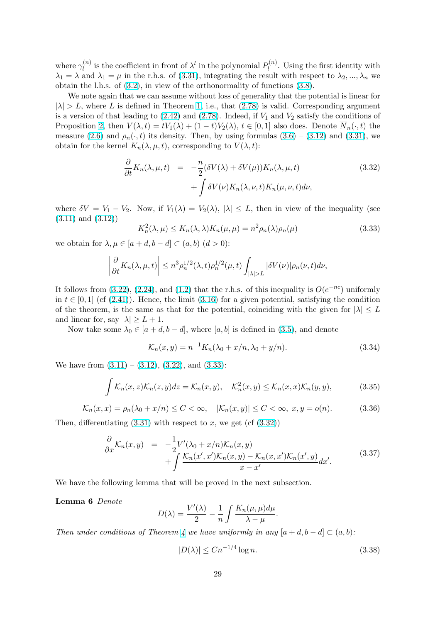<span id="page-28-0"></span>where  $\gamma_l^{(n)}$  $l_l^{(n)}$  is the coefficient in front of  $\lambda^l$  in the polynomial  $P_l^{(n)}$  $\ell_l^{(n)}$ . Using the first identity with  $\lambda_1 = \lambda$  and  $\lambda_1 = \mu$  in the r.h.s. of (3.31), integrating the result with respect to  $\lambda_2, ..., \lambda_n$  we obtain the l.h.s. of (3.2), in view of the orthonormality of functions (3.8).

We note again that we can assume without loss of generality that the potential is linear for  $|\lambda| > L$ , where L is defined in Theorem 1, i.e., that (2.78) is valid. Corresponding argument is a version of that leading to  $(2.42)$  and  $(2.78)$ . Indeed, if  $V_1$  and  $V_2$  satisfy the conditions of Proposition 2, then  $V(\lambda, t) = tV_1(\lambda) + (1 - t)V_2(\lambda), t \in [0, 1]$  $V(\lambda, t) = tV_1(\lambda) + (1 - t)V_2(\lambda), t \in [0, 1]$  also d[oes.](#page-24-0) Denote  $\overline{N}_n(\cdot, t)$  the measure (2.6) and  $\rho_n(\cdot, t)$  its density. Then, by using formulas (3.6) – (3.12) and (3.31), we obtain for the kernel  $K_n(\lambda, \mu, t)$ , corres[po](#page-5-0)[ndin](#page-12-0)g to  $V(\lambda, t)$ :

$$
\frac{\partial}{\partial t} K_n(\lambda, \mu, t) = -\frac{n}{2} (\delta V(\lambda) + \delta V(\mu)) K_n(\lambda, \mu, t) \n+ \int \delta V(\nu) K_n(\lambda, \nu, t) K_n(\mu, \nu, t) d\nu,
$$
\n(3.32)

where  $\delta V = V_1 - V_2$ . Now, if  $V_1(\lambda) = V_2(\lambda)$ ,  $|\lambda| \leq L$ , then in view of the inequality (see (3.11) and (3.12))

$$
K_n^2(\lambda, \mu) \le K_n(\lambda, \lambda) K_n(\mu, \mu) = n^2 \rho_n(\lambda) \rho_n(\mu)
$$
\n(3.33)

we obtain for  $\lambda, \mu \in [a+d, b-d] \subset (a, b)$   $(d > 0)$ :

$$
\left|\frac{\partial}{\partial t}K_n(\lambda,\mu,t)\right| \leq n^3\rho_n^{1/2}(\lambda,t)\rho_n^{1/2}(\mu,t)\int_{|\lambda|>L}|\delta V(\nu)|\rho_n(\nu,t)d\nu,
$$

It follows from (3.22), (2.24), and (1.2) that the r.h.s. of this inequality is  $O(e^{-nc})$  uniformly in  $t \in [0, 1]$  (cf (2.41)). Hence, the limit (3.16) for a given potential, satisfying the condition of the theorem, is the same as that for the potential, coinciding with the given for  $|\lambda| \leq L$ and linear for, say  $|\lambda| \geq L+1$ .

Now take so[me](#page-26-0)  $\lambda_0 \in [a+d, b-d]$  $\lambda_0 \in [a+d, b-d]$  $\lambda_0 \in [a+d, b-d]$ , where  $[a, b]$  is defined in (3.5), and denote

$$
\mathcal{K}_n(x, y) = n^{-1} K_n(\lambda_0 + x/n, \lambda_0 + y/n).
$$
 (3.34)

We have from  $(3.11) - (3.12)$ ,  $(3.22)$ , and  $(3.33)$ :

$$
\int \mathcal{K}_n(x, z)\mathcal{K}_n(z, y)dz = \mathcal{K}_n(x, y), \quad \mathcal{K}_n^2(x, y) \le \mathcal{K}_n(x, x)\mathcal{K}_n(y, y), \tag{3.35}
$$

$$
\mathcal{K}_n(x,x) = \rho_n(\lambda_0 + x/n) \le C < \infty, \quad |\mathcal{K}_n(x,y)| \le C < \infty, \ x, y = o(n). \tag{3.36}
$$

Then, differentiating  $(3.31)$  with respect to x, we get  $(cf (3.32))$ 

$$
\frac{\partial}{\partial x}\mathcal{K}_n(x,y) = -\frac{1}{2}V'(\lambda_0 + x/n)\mathcal{K}_n(x,y) \n+ \int \frac{\mathcal{K}_n(x',x')\mathcal{K}_n(x,y) - \mathcal{K}_n(x,x')\mathcal{K}_n(x',y)}{x - x'}dx'.
$$
\n(3.37)

We have the following lemma that will be proved in the next subsection.

Lemma 6 Denote

$$
D(\lambda) = \frac{V'(\lambda)}{2} - \frac{1}{n} \int \frac{K_n(\mu, \mu) d\mu}{\lambda - \mu}.
$$

Then under conditions of Theorem 4 we have uniformly in any  $[a+d, b-d] \subset (a, b)$ :

$$
|D(\lambda)| \le Cn^{-1/4} \log n. \tag{3.38}
$$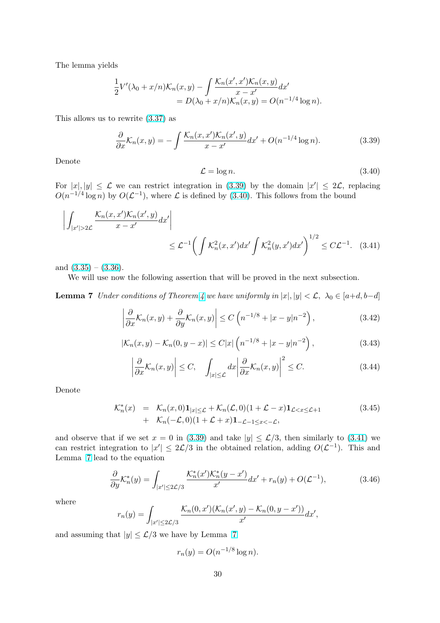<span id="page-29-0"></span>The lemma yields

$$
\frac{1}{2}V'(\lambda_0 + x/n)\mathcal{K}_n(x,y) - \int \frac{\mathcal{K}_n(x',x')\mathcal{K}_n(x,y)}{x-x'}dx' \n= D(\lambda_0 + x/n)\mathcal{K}_n(x,y) = O(n^{-1/4}\log n).
$$

This allows us to rewrite (3.37) as

$$
\frac{\partial}{\partial x}\mathcal{K}_n(x,y) = -\int \frac{\mathcal{K}_n(x,x')\mathcal{K}_n(x',y)}{x-x'}dx' + O(n^{-1/4}\log n). \tag{3.39}
$$

Denote

$$
\mathcal{L} = \log n. \tag{3.40}
$$

For  $|x|, |y| \leq \mathcal{L}$  we can restrict integration in (3.39) by the domain  $|x'| \leq 2\mathcal{L}$ , replacing  $O(n^{-1/4}\log n)$  by  $O(\mathcal{L}^{-1})$ , where  $\mathcal L$  is defined by (3.40). This follows from the bound

$$
\left| \int_{|x'| > 2\mathcal{L}} \frac{\mathcal{K}_n(x, x') \mathcal{K}_n(x', y)}{x - x'} dx' \right|
$$
  
 
$$
\leq \mathcal{L}^{-1} \left( \int \mathcal{K}_n^2(x, x') dx' \int \mathcal{K}_n^2(y, x') dx' \right)^{1/2} \leq C \mathcal{L}^{-1}.
$$
 (3.41)

and  $(3.35) - (3.36)$ .

We will use now the following assertion that will be proved in the next subsection.

**Lemma 7** Under conditions of Theorem 4 we have uniformly in  $|x|, |y| < L$ ,  $\lambda_0 \in [a+d, b-d]$ 

$$
\left| \frac{\partial}{\partial x} \mathcal{K}_n(x, y) + \frac{\partial}{\partial y} \mathcal{K}_n(x, y) \right| \le C \left( n^{-1/8} + |x - y| n^{-2} \right), \tag{3.42}
$$

$$
|\mathcal{K}_n(x,y) - \mathcal{K}_n(0,y-x)| \le C|x| \left( n^{-1/8} + |x-y|n^{-2} \right), \tag{3.43}
$$

$$
\left|\frac{\partial}{\partial x}\mathcal{K}_n(x,y)\right| \le C, \quad \int_{|x|\le \mathcal{L}} dx \left|\frac{\partial}{\partial x}\mathcal{K}_n(x,y)\right|^2 \le C. \tag{3.44}
$$

Denote

$$
\mathcal{K}_n^*(x) = \mathcal{K}_n(x,0) \mathbf{1}_{|x| \leq \mathcal{L}} + \mathcal{K}_n(\mathcal{L},0) (1+\mathcal{L}-x) \mathbf{1}_{\mathcal{L} < x \leq \mathcal{L}+1} \\
+ \mathcal{K}_n(-\mathcal{L},0) (1+\mathcal{L}+x) \mathbf{1}_{-\mathcal{L}-1 \leq x < -\mathcal{L}},\n\tag{3.45}
$$

and observe that if we set  $x = 0$  in (3.39) and take  $|y| \leq \mathcal{L}/3$ , then similarly to (3.41) we can restrict integration to  $|x'| \leq 2\mathcal{L}/3$  in the obtained relation, adding  $O(\mathcal{L}^{-1})$ . This and Lemma 7 lead to the equation

$$
\frac{\partial}{\partial y} \mathcal{K}_n^*(y) = \int_{|x'| \le 2\mathcal{L}/3} \frac{\mathcal{K}_n^*(x') \mathcal{K}_n^*(y - x')}{x'} dx' + r_n(y) + O(\mathcal{L}^{-1}),\tag{3.46}
$$

where

$$
r_n(y) = \int_{|x'| \le 2\mathcal{L}/3} \frac{\mathcal{K}_n(0,x')(\mathcal{K}_n(x',y) - \mathcal{K}_n(0,y-x'))}{x'} dx',
$$

and assuming that  $|y| \leq \mathcal{L}/3$  we have by Lemma 7

$$
r_n(y) = O(n^{-1/8}\log n).
$$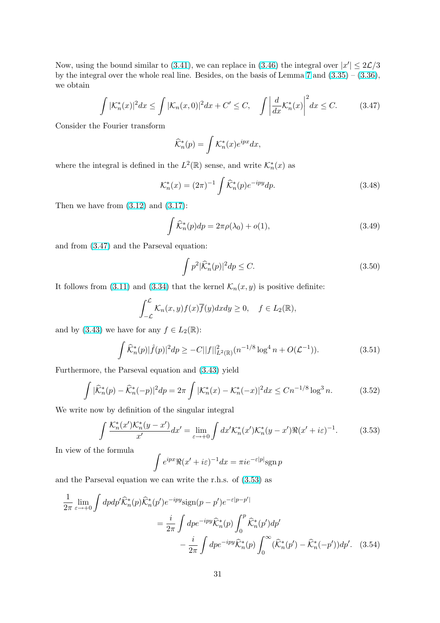<span id="page-30-0"></span>Now, using the bound similar to (3.41), we can replace in (3.46) the integral over  $|x'| \leq 2\mathcal{L}/3$ by the integral over the whole real line. Besides, on the basis of Lemma 7 and  $(3.35) - (3.36)$ , we obtain

$$
\int |\mathcal{K}_n^*(x)|^2 dx \le \int |\mathcal{K}_n(x,0)|^2 dx + C' \le C, \quad \int \left| \frac{d}{dx} \mathcal{K}_n^*(x) \right|^2 dx \le C. \tag{3.47}
$$

Consider the Fourier transform

$$
\widehat{\mathcal{K}}_n^*(p) = \int \mathcal{K}_n^*(x) e^{ipx} dx,
$$

where the integral is defined in the  $L^2(\mathbb{R})$  sense, and write  $\mathcal{K}_n^*(x)$  as

$$
\mathcal{K}_n^*(x) = (2\pi)^{-1} \int \widehat{\mathcal{K}}_n^*(p) e^{-ipy} dp.
$$
 (3.48)

Then we have from  $(3.12)$  and  $(3.17)$ :

$$
\int \widehat{\mathcal{K}}_n^*(p) dp = 2\pi \rho(\lambda_0) + o(1),\tag{3.49}
$$

and from (3.47) and [the P](#page-24-0)arsev[al equ](#page-25-0)ation:

$$
\int p^2 |\widehat{\mathcal{K}}_n^*(p)|^2 dp \le C. \tag{3.50}
$$

It follows from (3.11) and (3.34) that the kernel  $\mathcal{K}_n(x, y)$  is positive definite:

$$
\int_{-\mathcal{L}}^{\mathcal{L}} \mathcal{K}_n(x, y) f(x) \overline{f}(y) dx dy \ge 0, \quad f \in L_2(\mathbb{R}),
$$

and by (3.43) w[e hav](#page-24-0)e for [any](#page-28-0)  $f \in L_2(\mathbb{R})$ :

$$
\int \widehat{\mathcal{K}}_n^*(p)|\widehat{f}(p)|^2 dp \geq -C||f||^2_{L^2(\mathbb{R})}(n^{-1/8}\log^4 n + O(\mathcal{L}^{-1})).\tag{3.51}
$$

Further[more,](#page-29-0) the Parseval equation and (3.43) yield

$$
\int |\widehat{\mathcal{K}}_n^*(p) - \widehat{\mathcal{K}}_n^*(-p)|^2 dp = 2\pi \int |\mathcal{K}_n^*(x) - \mathcal{K}_n^*(-x)|^2 dx \le Cn^{-1/8} \log^3 n. \tag{3.52}
$$

We write now by definition of the singul[ar inte](#page-29-0)gral

$$
\int \frac{\mathcal{K}_n^*(x')\mathcal{K}_n^*(y-x')}{x'}dx' = \lim_{\varepsilon \to +0} \int dx' \mathcal{K}_n^*(x')\mathcal{K}_n^*(y-x')\Re(x'+i\varepsilon)^{-1}.
$$
 (3.53)

In view of the formula

$$
\int e^{ipx} \Re(x'+i\varepsilon)^{-1} dx = \pi i e^{-\varepsilon |p|} \operatorname{sgn} p
$$

and the Parseval equation we can write the r.h.s. of (3.53) as

$$
\frac{1}{2\pi} \lim_{\varepsilon \to +0} \int dp dp' \widehat{\mathcal{K}}_n^*(p) \widehat{\mathcal{K}}_n^*(p') e^{-ipy} \text{sign}(p-p') e^{-\varepsilon|p-p'|}
$$
\n
$$
= \frac{i}{2\pi} \int dp e^{-ipy} \widehat{\mathcal{K}}_n^*(p) \int_0^p \widehat{\mathcal{K}}_n^*(p') dp'
$$
\n
$$
- \frac{i}{2\pi} \int dp e^{-ipy} \widehat{\mathcal{K}}_n^*(p) \int_0^\infty (\widehat{\mathcal{K}}_n^*(p') - \widehat{\mathcal{K}}_n^*(-p')) dp'. \quad (3.54)
$$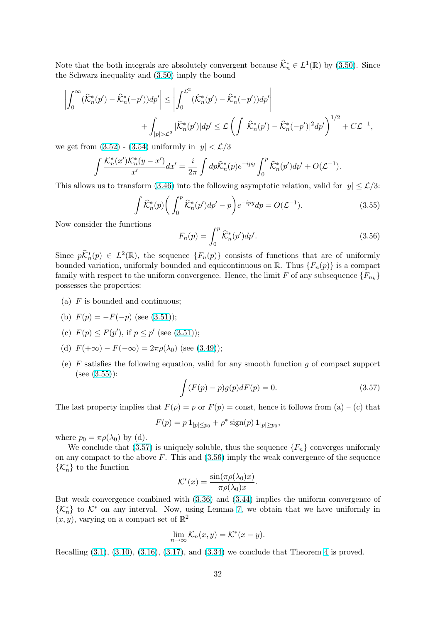Note that the both integrals are absolutely convergent because  $\widehat{\mathcal{K}}_n^* \in L^1(\mathbb{R})$  by (3.50). Since the Schwarz inequality and (3.50) imply the bound

$$
\left| \int_0^\infty (\widehat{\mathcal{K}}_n^*(p') - \widehat{\mathcal{K}}_n^*(-p'))dp' \right| \le \left| \int_0^{\mathcal{L}^2} (\widehat{\mathcal{K}}_n^*(p') - \widehat{\mathcal{K}}_n^*(-p'))dp' \right|
$$
  
+ 
$$
\int_{|p| > \mathcal{L}^2} |\widehat{\mathcal{K}}_n^*(p')|dp' \le \mathcal{L} \left( \int |\widehat{\mathcal{K}}_n^*(p') - \widehat{\mathcal{K}}_n^*(-p')|^2 dp' \right)^{1/2} + C\mathcal{L}^{-1},
$$

we get from  $(3.52)$  -  $(3.54)$  uniformly in  $|y| < \mathcal{L}/3$ 

$$
\int \frac{\mathcal{K}_n^*(x')\mathcal{K}_n^*(y-x')}{x'}dx' = \frac{i}{2\pi}\int dp\widehat{\mathcal{K}}_n^*(p)e^{-ipy}\int_0^p \widehat{\mathcal{K}}_n^*(p')dp' + O(\mathcal{L}^{-1}).
$$

Thisallows u[s to t](#page-30-0)ra[nsform](#page-30-0) (3.46) into the following asymptotic relation, valid for  $|y| \leq \mathcal{L}/3$ :

$$
\int \widehat{\mathcal{K}}_n^*(p) \bigg( \int_0^p \widehat{\mathcal{K}}_n^*(p') dp' - p \bigg) e^{-ipy} dp = O(\mathcal{L}^{-1}). \tag{3.55}
$$

Now consider the functions

$$
F_n(p) = \int_0^p \widehat{\mathcal{K}}_n^*(p') dp'. \tag{3.56}
$$

Since  $p\widehat{K}_n^*(p) \in L^2(\mathbb{R})$ , the sequence  $\{F_n(p)\}$  consists of functions that are of uniformly bounded variation, uniformly bounded and equicontinuous on R. Thus  ${F_n(p)}$  is a compact family with respect to the uniform convergence. Hence, the limit F of any subsequence  $\{F_{n_k}\}$ possesses the properties:

- (a) F is bounded and continuous;
- (b)  $F(p) = -F(-p)$  (see (3.51));
- (c)  $F(p) \leq F(p')$ , if  $p \leq p'$  (see (3.51));
- (d)  $F(+\infty) F(-\infty) = 2\pi \rho(\lambda_0)$  (see (3.49));
- (e) F satisfies the following equ[ation](#page-30-0), valid for any smooth function q of compact support  $(see (3.55))$ :

$$
\int (F(p) - p)g(p)dF(p) = 0.
$$
\n(3.57)

The last property implies that  $F(p) = p$  or  $F(p) = \text{const}$ , hence it follows from (a) – (c) that

$$
F(p) = p \mathbf{1}_{|p| \leq p_0} + \rho^* \operatorname{sign}(p) \mathbf{1}_{|p| \geq p_0},
$$

where  $p_0 = \pi \rho(\lambda_0)$  by (d).

We conclude that (3.57) is uniquely soluble, thus the sequence  $\{F_n\}$  converges uniformly on any compact to the above  $F$ . This and  $(3.56)$  imply the weak convergence of the sequence  $\{\mathcal{K}_n^*\}$  to the function

$$
\mathcal{K}^*(x) = \frac{\sin(\pi \rho(\lambda_0)x)}{\pi \rho(\lambda_0)x}.
$$

But weak convergence combined with (3.36) and (3.44) implies the uniform convergence of  $\{\mathcal{K}_n^*\}$  to  $\mathcal{K}^*$  on any interval. Now, using Lemma 7, we obtain that we have uniformly in  $(x, y)$ , varying on a compact set of  $\mathbb{R}^2$ 

$$
\lim_{n \to \infty} \mathcal{K}_n(x, y) = \mathcal{K}^*(x - y).
$$

Recalling  $(3.1)$ ,  $(3.10)$ ,  $(3.16)$ ,  $(3.17)$ , and  $(3.34)$  w[e c](#page-29-0)onclude that Theorem 4 is proved.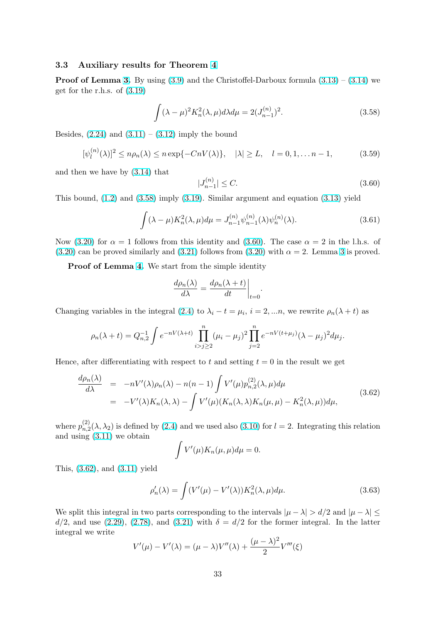### <span id="page-32-0"></span>3.3 Auxiliary results for Theorem 4

**Proof of Lemma 3.** By using  $(3.9)$  and the Christoffel-Darboux formula  $(3.13) - (3.14)$  we get for the r.h.s. of (3.19)

$$
\int (\lambda - \mu)^2 K_n^2(\lambda, \mu) d\lambda d\mu = 2(J_{n-1}^{(n)})^2.
$$
 (3.58)

Besides,  $(2.24)$  and  $(3.11) - (3.12)$  imply the bound

$$
[\psi_l^{(n)}(\lambda)]^2 \le n\rho_n(\lambda) \le n \exp\{-CnV(\lambda)\}, \quad |\lambda| \ge L, \quad l = 0, 1, \dots n - 1,\tag{3.59}
$$

and then [we h](#page-5-0)ave b[y \(3.1](#page-24-0)4)t[hat](#page-24-0)

 $\lambda$ 

$$
|J_{n-1}^{(n)}| \le C. \tag{3.60}
$$

This bound,  $(1.2)$  and  $(3.58)$  imply  $(3.19)$ . Similar argument and equation  $(3.13)$  yield

$$
\int (\lambda - \mu) K_n^2(\lambda, \mu) d\mu = J_{n-1}^{(n)} \psi_{n-1}^{(n)}(\lambda) \psi_n^{(n)}(\lambda).
$$
 (3.61)

Now(3.20) for  $\alpha = 1$  follows from t[his id](#page-26-0)entity and (3.60). The case  $\alpha = 2$  in the l.h.s. of (3.20) can be proved similarly and (3.21) follows from (3.20) with  $\alpha = 2$ . Lemma 3 is proved.

Proof of Lemma 4. We start from the simple identity

$$
\frac{d\rho_n(\lambda)}{d\lambda} = \frac{d\rho_n(\lambda + t)}{dt}\bigg|_{t=0}.
$$

Changing variables in the integral (2.4) to  $\lambda_i - t = \mu_i$ ,  $i = 2, ...n$ , we rewrite  $\rho_n(\lambda + t)$  as

$$
\rho_n(\lambda + t) = Q_{n,2}^{-1} \int e^{-nV(\lambda + t)} \prod_{i>j \ge 2}^n (\mu_i - \mu_j)^2 \prod_{j=2}^n e^{-nV(t + \mu_j)} (\lambda - \mu_j)^2 d\mu_j.
$$

Hence, after differentiating with respect to t and setting  $t = 0$  in the result we get

$$
\frac{d\rho_n(\lambda)}{d\lambda} = -nV'(\lambda)\rho_n(\lambda) - n(n-1) \int V'(\mu) p_{n,2}^{(2)}(\lambda,\mu) d\mu
$$
\n
$$
= -V'(\lambda)K_n(\lambda,\lambda) - \int V'(\mu)(K_n(\lambda,\lambda)K_n(\mu,\mu) - K_n^2(\lambda,\mu)) d\mu,
$$
\n(3.62)

where  $p_{n}^{(2)}$  $n_1^{(2)}(\lambda, \lambda_2)$  is defined by (2.4) and we used also (3.10) for  $l = 2$ . Integrating this relation and using (3.11) we obtain

$$
\int V'(\mu)K_n(\mu,\mu)d\mu=0.
$$

This, (3.62[\), and](#page-24-0) (3.11) yield

$$
\rho_n'(\lambda) = \int (V'(\mu) - V'(\lambda)) K_n^2(\lambda, \mu) d\mu.
$$
\n(3.63)

We split this integ[ral in](#page-24-0) two parts corresponding to the intervals  $|\mu - \lambda| > d/2$  and  $|\mu - \lambda| \le$  $d/2$ , and use (2.29), (2.78), and (3.21) with  $\delta = d/2$  for the former integral. In the latter integral we write

$$
V'(\mu) - V'(\lambda) = (\mu - \lambda)V''(\lambda) + \frac{(\mu - \lambda)^2}{2}V'''(\xi)
$$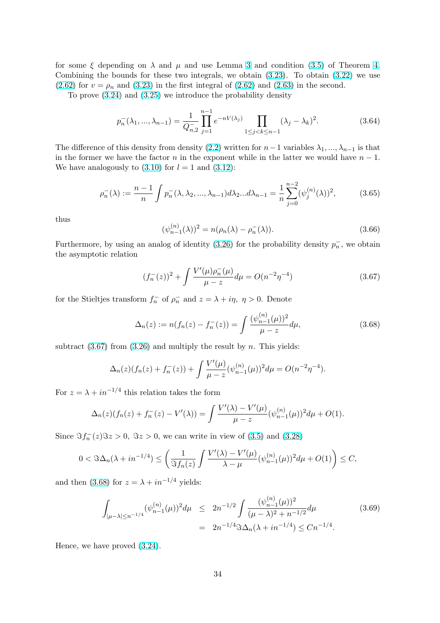<span id="page-33-0"></span>for some  $\xi$  depending on  $\lambda$  and  $\mu$  and use Lemma 3 and condition (3.5) of Theorem 4. Combining the bounds for these two integrals, we obtain  $(3.23)$ . To obtain  $(3.22)$  we use (2.62) for  $v = \rho_n$  and (3.23) in the first integral of (2.62) and (2.63) in the second.

To prove (3.24) and (3.25) we introduce the prob[abi](#page-25-0)lity density

$$
p_n^{-}(\lambda_1, ..., \lambda_{n-1}) = \frac{1}{Q_{n,2}^{-}} \prod_{j=1}^{n-1} e^{-nV(\lambda_j)} \prod_{1 \le j < k \le n-1} (\lambda_j - \lambda_k)^2. \tag{3.64}
$$

The difference of this density from density (2.2) written for  $n-1$  variables  $\lambda_1, ..., \lambda_{n-1}$  is that in the former we have the factor n in the exponent while in the latter we would have  $n-1$ . We have analogously to  $(3.10)$  for  $l = 1$  and  $(3.12)$ :

$$
\rho_n^{-}(\lambda) := \frac{n-1}{n} \int p_n^{-}(\lambda, \lambda_2, ..., \lambda_{n-1}) d\lambda_2 ... d\lambda_{n-1} = \frac{1}{n} \sum_{j=0}^{n-2} (\psi_j^{(n)}(\lambda))^2, \tag{3.65}
$$

thus

$$
(\psi_{n-1}^{(n)}(\lambda))^{2} = n(\rho_{n}(\lambda) - \rho_{n}^{-}(\lambda)).
$$
\n(3.66)

Furthermore, by using an analog of identity (3.26) for the probability density  $p_n^-$ , we obtain the asymptotic relation

$$
(f_n^-(z))^2 + \int \frac{V'(\mu)\rho_n^-(\mu)}{\mu - z} d\mu = O(n^{-2}\eta^{-4})
$$
\n(3.67)

for the Stieltjes transform  $f_n^-$  of  $\rho_n^-$  and  $z = \lambda + i\eta$ ,  $\eta > 0$ . Denote

$$
\Delta_n(z) := n(f_n(z) - f_n^{-}(z)) = \int \frac{(\psi_{n-1}^{(n)}(\mu))^2}{\mu - z} d\mu,
$$
\n(3.68)

subtract  $(3.67)$  from  $(3.26)$  and multiply the result by n. This yields:

$$
\Delta_n(z)(f_n(z) + f_n^{-}(z)) + \int \frac{V'(\mu)}{\mu - z} (\psi_{n-1}^{(n)}(\mu))^2 d\mu = O(n^{-2}\eta^{-4}).
$$

For  $z = \lambda + i n^{-1/4}$  this relation takes the form

$$
\Delta_n(z)(f_n(z) + f_n^{-}(z) - V'(\lambda)) = \int \frac{V'(\lambda) - V'(\mu)}{\mu - z} (\psi_{n-1}^{(n)}(\mu))^2 d\mu + O(1).
$$

Since  $\Im f_n^-(z)\Im z > 0$ ,  $\Im z > 0$ , we can write in view of (3.5) and (3.28)

$$
0 < \Im \Delta_n(\lambda + i n^{-1/4}) \le \left(\frac{1}{\Im f_n(z)} \int \frac{V'(\lambda) - V'(\mu)}{\lambda - \mu} (\psi_{n-1}^{(n)}(\mu))^2 d\mu + O(1)\right) \le C,
$$

and then (3.68) for  $z = \lambda + i n^{-1/4}$  yields:

$$
\int_{|\mu-\lambda| \le n^{-1/4}} (\psi_{n-1}^{(n)}(\mu))^2 d\mu \le 2n^{-1/2} \int \frac{(\psi_{n-1}^{(n)}(\mu))^2}{(\mu-\lambda)^2 + n^{-1/2}} d\mu
$$
\n
$$
= 2n^{-1/4} \Im \Delta_n(\lambda + i n^{-1/4}) \le Cn^{-1/4}.
$$
\n(3.69)

Hence, we have proved (3.24).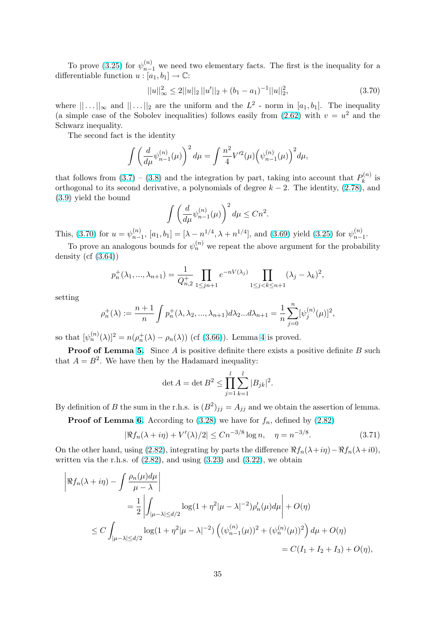<span id="page-34-0"></span>To prove (3.25) for  $\psi_{n-1}^{(n)}$  we need two elementary facts. The first is the inequality for a differentiable function  $u : [a_1, b_1] \rightarrow \mathbb{C}$ :

$$
||u||_{\infty}^{2} \le 2||u||_{2}||u'||_{2} + (b_{1} - a_{1})^{-1}||u||_{2}^{2},
$$
\n(3.70)

where  $||...||_{\infty}$  [and](#page-26-0)  $||...||_{2}$  are the uniform and the  $L^{2}$  - norm in  $[a_{1},b_{1}]$ . The inequality (a simple case of the Sobolev inequalities) follows easily from  $(2.62)$  with  $v = u^2$  and the Schwarz inequality.

The second fact is the identity

$$
\int \left(\frac{d}{d\mu}\psi_{n-1}^{(n)}(\mu)\right)^2 d\mu = \int \frac{n^2}{4} V'^2(\mu) \Big(\psi_{n-1}^{(n)}(\mu)\Big)^2 d\mu,
$$

that follows from (3.7) – (3.8) and the integration by part, taking into account that  $P_k^{(n)}$  $\boldsymbol{k}^{(n)}$  is orthogonal to its second derivative, a polynomials of degree  $k - 2$ . The identity,  $(2.78)$ , and (3.9) yield the bound

$$
\int \left(\frac{d}{d\mu}\psi_{n-1}^{(n)}(\mu)\right)^2 d\mu \le Cn^2.
$$

[This](#page-24-0), (3.70) for  $u = \psi_{n}^{(n)}$  $\binom{n}{n-1}$  $\binom{n}{n-1}$  $\binom{n}{n-1}$ , [a<sub>1</sub>, b<sub>1</sub>] = [ $\lambda - n^{1/4}$ ,  $\lambda + n^{1/4}$ ], and (3.69) yield (3.25) for  $\psi_{n-}^{(n)}$  $\binom{n}{n-1}$ .

To prove an analogous bounds for  $\psi_n^{(n)}$  we repeat the above argument for the probability density  $(cf (3.64))$ 

$$
p_n^+(\lambda_1, ..., \lambda_{n+1}) = \frac{1}{Q_{n,2}} \prod_{1 \le j \le n+1} e^{-nV(\lambda_j)} \prod_{1 \le j < k \le n+1} (\lambda_j - \lambda_k)^2,
$$

setting

$$
\rho_n^+(\lambda) := \frac{n+1}{n} \int p_n^+(\lambda, \lambda_2, ..., \lambda_{n+1}) d\lambda_2 ... d\lambda_{n+1} = \frac{1}{n} \sum_{j=0}^n [\psi_j^{(n)}(\mu)]^2,
$$

so that  $[\psi_n^{(n)}(\lambda)]^2 = n(\rho_n^+(\lambda) - \rho_n(\lambda))$  (cf (3.66)). Lemma 4 is proved.

**Proof of Lemma 5.** Since  $A$  is positive definite there exists a positive definite  $B$  such that  $A = B^2$ . We have then by the Hadamard inequality:

$$
\det A = \det B^2 \le \prod_{j=1}^l \sum_{k=1}^l |B_{jk}|^2.
$$

By definition of B the sum in the r.h.s. is  $(B^2)_{jj} = A_{jj}$  and we obtain the assertion of lemma.

**Proof of Lemma 6.** According to  $(3.28)$  we have for  $f_n$ , defined by  $(2.82)$ 

$$
|\Re f_n(\lambda + i\eta) + V'(\lambda)/2| \le Cn^{-3/8} \log n, \quad \eta = n^{-3/8}.
$$
 (3.71)

On the other hand, using (2.82), integrating by parts the difference  $\Re f_n(\lambda+i\eta)-\Re f_n(\lambda+i0)$ , writtenvia the r.h.s. of  $(2.82)$ , and using  $(3.23)$  and  $(3.22)$ , we obtain

$$
\begin{aligned}\n\left| \Re f_n(\lambda + i\eta) - \int \frac{\rho_n(\mu)d\mu}{\mu - \lambda} \right| \\
&= \frac{1}{2} \left| \int_{|\mu - \lambda| \le d/2} \log(1 + \eta^2 |\mu - \lambda|^{-2}) \rho_n'(\mu) d\mu \right| + O(\eta) \\
&\le C \int_{|\mu - \lambda| \le d/2} \log(1 + \eta^2 |\mu - \lambda|^{-2}) \left( (\psi_{n-1}^{(n)}(\mu))^2 + (\psi_n^{(n)}(\mu))^2 \right) d\mu + O(\eta) \\
&= C(I_1 + I_2 + I_3) + O(\eta),\n\end{aligned}
$$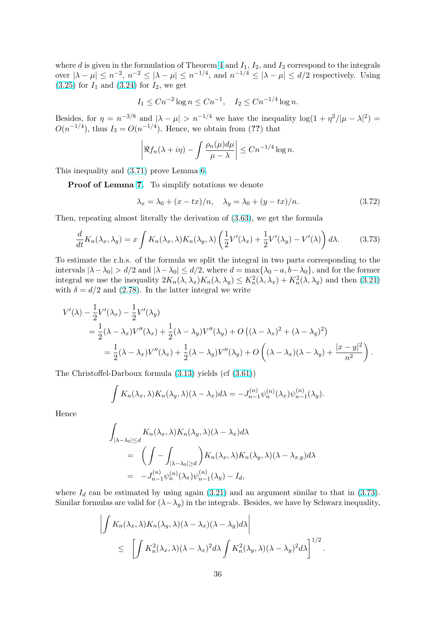where d is given in the formulation of Theorem 4 and  $I_1$ ,  $I_2$ , and  $I_3$  correspond to the integrals over  $|\lambda - \mu| \leq n^{-2}$ ,  $n^{-2} \leq |\lambda - \mu| \leq n^{-1/4}$ , and  $n^{-1/4} \leq |\lambda - \mu| \leq d/2$  respectively. Using  $(3.25)$  for  $I_1$  and  $(3.24)$  for  $I_2$ , we get

$$
I_1 \le Cn^{-2} \log n \le Cn^{-1}, \quad I_2 \le Cn^{-1/4} \log n.
$$

[Besid](#page-26-0)es, for  $\eta = n^{-3/8}$  $\eta = n^{-3/8}$  $\eta = n^{-3/8}$  and  $|\lambda - \mu| > n^{-1/4}$  we have the inequality  $\log(1 + \eta^2/|\mu - \lambda|^2) =$  $O(n^{-1/4})$ , thus  $I_3 = O(n^{-1/4})$ . Hence, we obtain from (??) that

$$
\left| \Re f_n(\lambda + i\eta) - \int \frac{\rho_n(\mu)d\mu}{\mu - \lambda} \right| \le Cn^{-1/4} \log n.
$$

This inequality and (3.71) prove Lemma 6.

Proof of Lemma 7. To simplify notations we denote

$$
\lambda_x = \lambda_0 + (x - tx)/n, \quad \lambda_y = \lambda_0 + (y - tx)/n. \tag{3.72}
$$

Then, repeating almos[t l](#page-29-0)iterally the derivation of (3.63), we get the formula

$$
\frac{d}{dt}K_n(\lambda_x, \lambda_y) = x \int K_n(\lambda_x, \lambda) K_n(\lambda_y, \lambda) \left(\frac{1}{2}V'(\lambda_x) + \frac{1}{2}V'(\lambda_y) - V'(\lambda)\right) d\lambda.
$$
 (3.73)

To estimate the r.h.s. of the formula we split the [integr](#page-32-0)al in two parts corresponding to the intervals  $|\lambda-\lambda_0| > d/2$  and  $|\lambda-\lambda_0| \le d/2$ , where  $d = \max{\lambda_0 - a, b - \lambda_0}$ , and for the former integral we use the inequality  $2K_n(\lambda, \lambda_x)K_n(\lambda, \lambda_y) \leq K_n^2(\lambda, \lambda_x) + K_n^2(\lambda, \lambda_y)$  and then (3.21) with  $\delta = d/2$  and (2.78). In the latter integral we write

$$
V'(\lambda) - \frac{1}{2}V'(\lambda_x) - \frac{1}{2}V'(\lambda_y)
$$
  
=  $\frac{1}{2}(\lambda - \lambda_x)V''(\lambda_x) + \frac{1}{2}(\lambda - \lambda_y)V''(\lambda_y) + O((\lambda - \lambda_x)^2 + (\lambda - \lambda_y)^2)$   
=  $\frac{1}{2}(\lambda - \lambda_x)V''(\lambda_x) + \frac{1}{2}(\lambda - \lambda_y)V''(\lambda_y) + O((\lambda - \lambda_x)(\lambda - \lambda_y) + \frac{|x - y|^2}{n^2}).$ 

The Christoffel-Darboux formula (3.13) yields (cf (3.61))

$$
\int K_n(\lambda_x, \lambda) K_n(\lambda_y, \lambda) (\lambda - \lambda_x) d\lambda = -J_{n-1}^{(n)} \psi_n^{(n)}(\lambda_x) \psi_{n-1}^{(n)}(\lambda_y).
$$

Hence

$$
\int_{|\lambda-\lambda_0| \le d} K_n(\lambda_x, \lambda) K_n(\lambda_y, \lambda) (\lambda - \lambda_x) d\lambda
$$
  
= 
$$
\left( \int - \int_{|\lambda-\lambda_0| \ge d} \right) K_n(\lambda_x, \lambda) K_n(\lambda_y, \lambda) (\lambda - \lambda_{x,y}) d\lambda
$$
  
= 
$$
-J_{n-1}^{(n)} \psi_n^{(n)}(\lambda_x) \psi_{n-1}^{(n)}(\lambda_y) - I_d,
$$

where  $I_d$  can be estimated by using again (3.21) and an argument similar to that in (3.73). Similar formulas are valid for  $(\lambda - \lambda_y)$  in the integrals. Besides, we have by Schwarz inequality,

$$
\left| \int K_n(\lambda_x, \lambda) K_n(\lambda_y, \lambda) (\lambda - \lambda_x) (\lambda - \lambda_y) d\lambda \right|
$$
  
\$\leq \left[ \int K\_n^2(\lambda\_x, \lambda) (\lambda - \lambda\_x)^2 d\lambda \int K\_n^2(\lambda\_y, \lambda) (\lambda - \lambda\_y)^2 d\lambda \right]^{1/2}\$.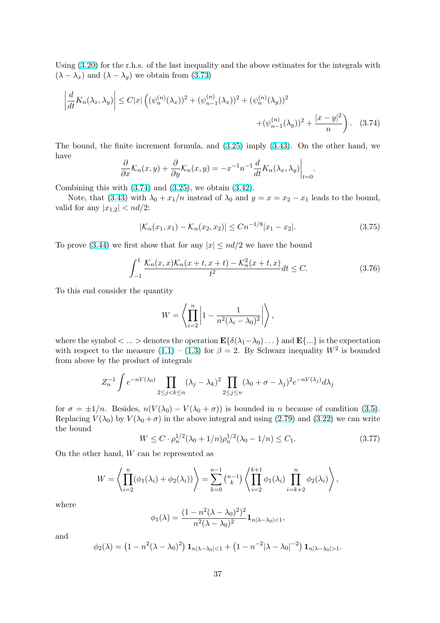<span id="page-36-0"></span>Using (3.20) for the r.h.s. of the last inequality and the above estimates for the integrals with  $(\lambda - \lambda_x)$  and  $(\lambda - \lambda_y)$  we obtain from (3.73)

$$
\left| \frac{d}{dt} K_n(\lambda_x, \lambda_y) \right| \le C|x| \left( (\psi_n^{(n)}(\lambda_x))^2 + (\psi_{n-1}^{(n)}(\lambda_x))^2 + (\psi_n^{(n)}(\lambda_y))^2 + (\psi_{n-1}^{(n)}(\lambda_y))^2 + \frac{|x - y|^2}{n} \right). \tag{3.74}
$$

The bound, the finite increment formula, and (3.25) imply (3.43). On the other hand, we have l,

$$
\frac{\partial}{\partial x}\mathcal{K}_n(x,y) + \frac{\partial}{\partial y}\mathcal{K}_n(x,y) = -x^{-1}n^{-1}\frac{d}{dt}K_n(\lambda_x,\lambda_y)\Big|_{t=0}.
$$

Combining this with  $(3.74)$  and  $(3.25)$ , we obtain  $(3.42)$ .

Note, that (3.43) with  $\lambda_0 + x_1/n$  instead of  $\lambda_0$  and  $y = x = x_2 - x_1$  leads to the bound, valid for any  $|x_{1,2}| < nd/2$ :

$$
|\mathcal{K}_n(x_1, x_1) - \mathcal{K}_n(x_2, x_2)| \le Cn^{-1/8} |x_1 - x_2|.
$$
 (3.75)

To prove (3.44) we first show that for any  $|x| \leq nd/2$  we have the bound

$$
\int_{-1}^{1} \frac{\mathcal{K}_n(x, x)\mathcal{K}_n(x+t, x+t) - \mathcal{K}_n^2(x+t, x)}{t^2} dt \le C.
$$
 (3.76)

To this end consider the quantity

$$
W = \left\langle \prod_{i=2}^{n} \left| 1 - \frac{1}{n^2(\lambda_i - \lambda_0)^2} \right| \right\rangle,
$$

where the symbol  $\langle \ldots \rangle$  denotes the operation  $\mathbf{E}\{\delta(\lambda_1-\lambda_0)\ldots\}$  and  $\mathbf{E}\{\ldots\}$  is the expectation with respect to the measure  $(1.1) - (1.3)$  for  $\beta = 2$ . By Schwarz inequality  $W^2$  is bounded from above by the product of integrals

$$
Z_n^{-1} \int e^{-nV(\lambda_0)} \prod_{2 \le j < k \le n} (\lambda_j - \lambda_k)^2 \prod_{2 \le j \le n} (\lambda_0 + \sigma - \lambda_j)^2 e^{-nV(\lambda_j)} d\lambda_j
$$

for  $\sigma = \pm 1/n$ . Besides,  $n(V(\lambda_0) - V(\lambda_0 + \sigma))$  is bounded in n because of condition (3.5). Replacing  $V(\lambda_0)$  by  $V(\lambda_0 + \sigma)$  in the above integral and using (2.79) and (3.22) we can write the bound

$$
W \le C \cdot \rho_n^{1/2} (\lambda_0 + 1/n) \rho_n^{1/2} (\lambda_0 - 1/n) \le C_1.
$$
 (3.77)

On the other hand, W can be represented as

$$
W = \left\langle \prod_{i=2}^{n} (\phi_1(\lambda_i) + \phi_2(\lambda_i)) \right\rangle = \sum_{k=0}^{n-1} {n-1 \choose k} \left\langle \prod_{i=2}^{k+1} \phi_1(\lambda_i) \prod_{i=k+2}^{n} \phi_2(\lambda_i) \right\rangle,
$$

where

$$
\phi_1(\lambda) = \frac{(1 - n^2(\lambda - \lambda_0)^2)^2}{n^2(\lambda - \lambda_0)^2} \mathbf{1}_{n|\lambda - \lambda_0| < 1},
$$

and

$$
\phi_2(\lambda) = (1 - n^2(\lambda - \lambda_0)^2) \mathbf{1}_{n|\lambda - \lambda_0| < 1} + (1 - n^{-2}|\lambda - \lambda_0|^{-2}) \mathbf{1}_{n|\lambda - \lambda_0| > 1}.
$$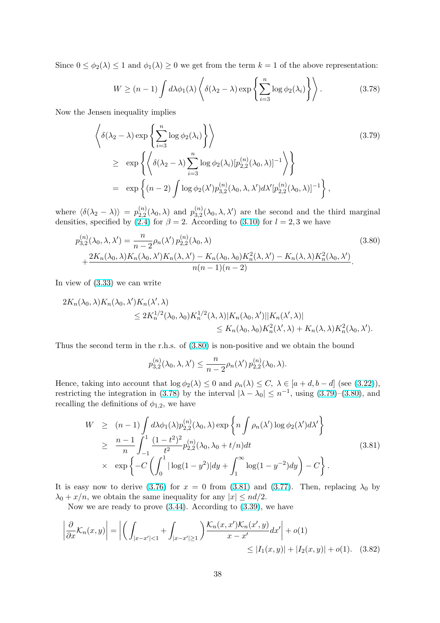<span id="page-37-0"></span>Since  $0 \leq \phi_2(\lambda) \leq 1$  and  $\phi_1(\lambda) \geq 0$  we get from the term  $k = 1$  of the above representation:

$$
W \ge (n-1) \int d\lambda \phi_1(\lambda) \left\langle \delta(\lambda_2 - \lambda) \exp \left\{ \sum_{i=3}^n \log \phi_2(\lambda_i) \right\} \right\rangle.
$$
 (3.78)

Now the Jensen inequality implies

$$
\left\langle \delta(\lambda_2 - \lambda) \exp\left\{ \sum_{i=3}^n \log \phi_2(\lambda_i) \right\} \right\rangle
$$
\n
$$
\geq \exp\left\{ \left\langle \delta(\lambda_2 - \lambda) \sum_{i=3}^n \log \phi_2(\lambda_i) [p_{2,2}^{(n)}(\lambda_0, \lambda)]^{-1} \right\rangle \right\}
$$
\n
$$
= \exp\left\{ (n-2) \int \log \phi_2(\lambda') p_{3,2}^{(n)}(\lambda_0, \lambda, \lambda') d\lambda' [p_{2,2}^{(n)}(\lambda_0, \lambda)]^{-1} \right\},
$$
\n(3.79)

where  $\langle \delta(\lambda_2 - \lambda) \rangle = p_{2,2}^{(n)}$  $_{2,2}^{(n)}(\lambda_{0},\lambda)$  and  $p_{3,2}^{(n)}$  $\chi_{3,2}^{(n)}(\lambda_0,\lambda,\lambda')$  are the second and the third marginal densities, specified by (2.4) for  $\beta = 2$ . According to (3.10) for  $l = 2, 3$  we have

$$
p_{3,2}^{(n)}(\lambda_0, \lambda, \lambda') = \frac{n}{n-2} \rho_n(\lambda') p_{2,2}^{(n)}(\lambda_0, \lambda)
$$
  
 
$$
+ \frac{2K_n(\lambda_0, \lambda)K_n(\lambda_0, \lambda')K_n(\lambda, \lambda') - K_n(\lambda_0, \lambda_0)K_n^2(\lambda, \lambda') - K_n(\lambda, \lambda)K_n^2(\lambda_0, \lambda')}{n(n-1)(n-2)}.
$$
  
(3.80)

In view of (3.33) we can write

$$
2K_n(\lambda_0, \lambda)K_n(\lambda_0, \lambda')K_n(\lambda', \lambda)
$$
  
\n
$$
\leq 2K_n^{1/2}(\lambda_0, \lambda_0)K_n^{1/2}(\lambda, \lambda)|K_n(\lambda_0, \lambda')||K_n(\lambda', \lambda)|
$$
  
\n
$$
\leq K_n(\lambda_0, \lambda_0)K_n^{2}(\lambda', \lambda) + K_n(\lambda, \lambda)K_n^{2}(\lambda_0, \lambda').
$$

Thus the second term in the r.h.s. of (3.80) is non-positive and we obtain the bound

$$
p_{3,2}^{(n)}(\lambda_0, \lambda, \lambda') \leq \frac{n}{n-2} \rho_n(\lambda') p_{2,2}^{(n)}(\lambda_0, \lambda).
$$

Hence, taking into account that  $\log \phi_2(\lambda) \leq 0$  and  $\rho_n(\lambda) \leq C$ ,  $\lambda \in [a+d, b-d]$  (see (3.22)), restricting the integration in (3.78) by the interval  $|\lambda - \lambda_0| \leq n^{-1}$ , using (3.79)–(3.80), and recalling the definitions of  $\phi_{1,2}$ , we have

$$
W \ge (n-1) \int d\lambda \phi_1(\lambda) p_{2,2}^{(n)}(\lambda_0, \lambda) \exp \left\{ n \int \rho_n(\lambda') \log \phi_2(\lambda') d\lambda' \right\}
$$
  
\n
$$
\ge \frac{n-1}{n} \int_{-1}^1 \frac{(1-t^2)^2}{t^2} p_{2,2}^{(n)}(\lambda_0, \lambda_0 + t/n) dt
$$
  
\n
$$
\times \exp \left\{ -C \left( \int_0^1 |\log(1-y^2)| dy + \int_1^\infty \log(1-y^{-2}) dy \right) - C \right\}.
$$
\n(3.81)

It is easy now to derive (3.76) for  $x = 0$  from (3.81) and (3.77). Then, replacing  $\lambda_0$  by  $\lambda_0 + x/n$ , we obtain the same inequality for any  $|x| \leq nd/2$ .

Now we are ready to prove (3.44). According to (3.39), we have

$$
\left| \frac{\partial}{\partial x} \mathcal{K}_n(x, y) \right| = \left| \left( \int_{|x - x'| < 1} + \int_{|x - x'| \ge 1} \right) \frac{\mathcal{K}_n(x, x') \mathcal{K}_n(x', y)}{x - x'} dx' \right| + o(1)
$$
\n
$$
\le |I_1(x, y)| + |I_2(x, y)| + o(1). \quad (3.82)
$$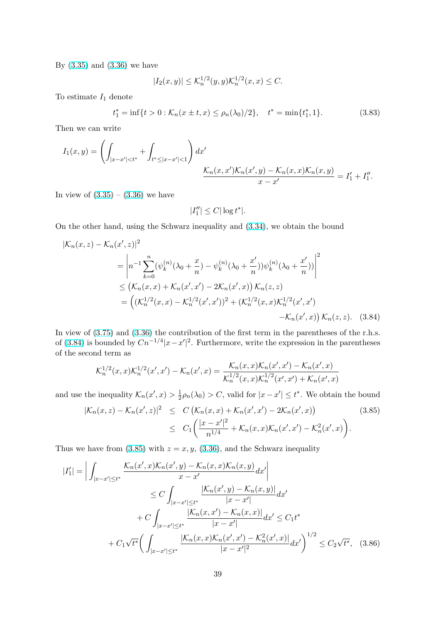<span id="page-38-0"></span>By (3.35) and (3.36) we have

$$
|I_2(x,y)| \le \mathcal{K}_n^{1/2}(y,y)\mathcal{K}_n^{1/2}(x,x) \le C.
$$

To [estima](#page-28-0)te  $I_1$  [deno](#page-28-0)te

$$
t_1^* = \inf\{t > 0 : \mathcal{K}_n(x \pm t, x) \le \rho_n(\lambda_0)/2\}, \quad t^* = \min\{t_1^*, 1\}.
$$
 (3.83)

Then we can write

$$
I_1(x,y) = \left(\int_{|x-x'|
$$

In view of  $(3.35) - (3.36)$  we have

$$
|I_1''| \leq C |\log t^*|.
$$

On the oth[er ha](#page-28-0)nd, [using](#page-28-0) the Schwarz inequality and (3.34), we obtain the bound

$$
|\mathcal{K}_n(x, z) - \mathcal{K}_n(x', z)|^2
$$
  
=  $\left| n^{-1} \sum_{k=0}^n (\psi_k^{(n)} (\lambda_0 + \frac{x}{n}) - \psi_k^{(n)} (\lambda_0 + \frac{x'}{n})) \psi_k^{(n)} (\lambda_0 + \frac{x'}{n})) \right|^2$   

$$
\leq (\mathcal{K}_n(x, x) + \mathcal{K}_n(x', x') - 2\mathcal{K}_n(x', x)) \mathcal{K}_n(z, z)
$$
  
=  $((\mathcal{K}_n^{1/2}(x, x) - \mathcal{K}_n^{1/2}(x', x'))^2 + (\mathcal{K}_n^{1/2}(x, x) \mathcal{K}_n^{1/2}(x', x')) \mathcal{K}_n(z, z).$  (3.84)

In view of  $(3.75)$  and  $(3.36)$  the contribution of the first term in the parentheses of the r.h.s. of (3.84) is bounded by  $Cn^{-1/4}|x-x'|^2$ . Furthermore, write the expression in the parentheses of the second term as

$$
\mathcal{K}_n^{1/2}(x,x)\mathcal{K}_n^{1/2}(x',x') - \mathcal{K}_n(x',x) = \frac{\mathcal{K}_n(x,x)\mathcal{K}_n(x',x') - \mathcal{K}_n(x',x)}{\mathcal{K}_n^{1/2}(x,x)\mathcal{K}_n^{1/2}(x',x') + \mathcal{K}_n(x',x)}
$$

and use the inequality  $\mathcal{K}_n(x',x) > \frac{1}{2}$  $\frac{1}{2}\rho_n(\lambda_0) > C$ , valid for  $|x - x'| \le t^*$ . We obtain the bound

$$
|\mathcal{K}_n(x,z) - \mathcal{K}_n(x',z)|^2 \leq C \left( \mathcal{K}_n(x,x) + \mathcal{K}_n(x',x') - 2\mathcal{K}_n(x',x) \right)
$$
(3.85)  

$$
\leq C_1 \left( \frac{|x-x'|^2}{n^{1/4}} + \mathcal{K}_n(x,x) \mathcal{K}_n(x',x') - \mathcal{K}_n^2(x',x) \right).
$$

Thus we have from  $(3.85)$  with  $z = x, y, (3.36)$ , and the Schwarz inequality

$$
|I'_{1}| = \left| \int_{|x-x'| \le t^{*}} \frac{\mathcal{K}_{n}(x',x)\mathcal{K}_{n}(x',y) - \mathcal{K}_{n}(x,x)\mathcal{K}_{n}(x,y)}{x-x'}dx' \right|
$$
  
\n
$$
\le C \int_{|x-x'| \le t^{*}} \frac{|\mathcal{K}_{n}(x',y) - \mathcal{K}_{n}(x,y)|}{|x-x'|} dx'
$$
  
\n
$$
+ C \int_{|x-x'| \le t^{*}} \frac{|\mathcal{K}_{n}(x,x') - \mathcal{K}_{n}(x,x)|}{|x-x'|} dx' \le C_{1} t^{*}
$$
  
\n
$$
+ C_{1} \sqrt{t^{*}} \left( \int_{|x-x'| \le t^{*}} \frac{|\mathcal{K}_{n}(x,x)\mathcal{K}_{n}(x',x') - \mathcal{K}_{n}^{2}(x',x)|}{|x-x'|^{2}} dx' \right)^{1/2} \le C_{2} \sqrt{t^{*}}, \quad (3.86)
$$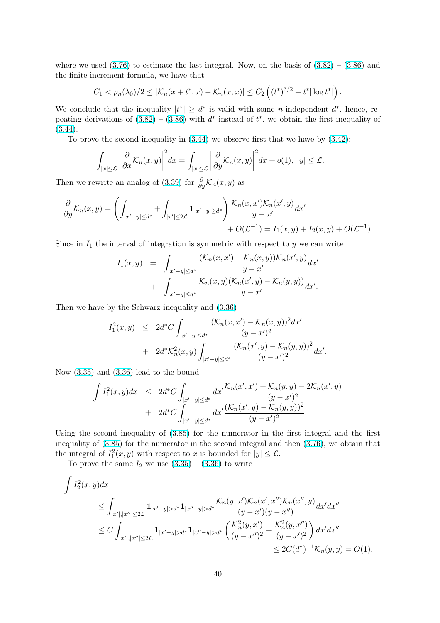where we used  $(3.76)$  to estimate the last integral. Now, on the basis of  $(3.82) - (3.86)$  and the finite increment formula, we have that

$$
C_1 < \rho_n(\lambda_0)/2 \leq |\mathcal{K}_n(x+t^*,x) - \mathcal{K}_n(x,x)| \leq C_2 \left( (t^*)^{3/2} + t^* |\log t^*| \right).
$$

We conclude th[at th](#page-36-0)e inequality  $|t^*| \geq d^*$  is valid with some *n*-indepen[dent](#page-37-0)  $d^*$ , [hence](#page-38-0), repeating derivations of  $(3.82) - (3.86)$  with  $d^*$  instead of  $t^*$ , we obtain the first inequality of  $(3.44).$ 

To prove the second inequality in  $(3.44)$  we observe first that we have by  $(3.42)$ :

$$
\int_{|x|\leq \mathcal{L}} \left| \frac{\partial}{\partial x} \mathcal{K}_n(x, y) \right|^2 dx = \int_{|x|\leq \mathcal{L}} \left| \frac{\partial}{\partial y} \mathcal{K}_n(x, y) \right|^2 dx + o(1), \ |y| \leq \mathcal{L}.
$$

Then we rewrite an analog of (3.39) for  $\frac{\partial}{\partial y}$ K<sub>n</sub>(x, y) as

$$
\frac{\partial}{\partial y} \mathcal{K}_n(x,y) = \left( \int_{|x'-y| \leq d^*} + \int_{|x'| \leq 2\mathcal{L}} \mathbf{1}_{|x'-y| \geq d^*} \right) \frac{\mathcal{K}_n(x,x') \mathcal{K}_n(x',y)}{y-x'} dx' + O(\mathcal{L}^{-1}) = I_1(x,y) + I_2(x,y) + O(\mathcal{L}^{-1}).
$$

Since in  $I_1$  the interval of integration is symmetric with respect to y we can write

$$
I_1(x,y) = \int_{|x'-y| \leq d^*} \frac{(\mathcal{K}_n(x,x') - \mathcal{K}_n(x,y))\mathcal{K}_n(x',y)}{y-x'} \, dx' + \int_{|x'-y| \leq d^*} \frac{\mathcal{K}_n(x,y)(\mathcal{K}_n(x',y) - \mathcal{K}_n(y,y))}{y-x'} \, dx'.
$$

Then we have by the Schwarz inequality and (3.36)

$$
I_1^2(x,y) \le 2d^*C \int_{|x'-y| \le d^*} \frac{(\mathcal{K}_n(x,x') - \mathcal{K}_n(x,y))^2 dx'}{(y-x')^2} + 2d^* \mathcal{K}_n^2(x,y) \int_{|x'-y| \le d^*} \frac{(\mathcal{K}_n(x',y) - \mathcal{K}_n(y,y))^2}{(y-x')^2} dx'.
$$

Now (3.35) and (3.36) lead to the bound

$$
\int I_1^2(x,y)dx \le 2d^*C \int_{|x'-y| \le d^*} dx' \frac{\mathcal{K}_n(x',x') + \mathcal{K}_n(y,y) - 2\mathcal{K}_n(x',y)}{(y-x')^2} + 2d^*C \int_{|x'-y| \le d^*} dx' \frac{(\mathcal{K}_n(x',y) - \mathcal{K}_n(y,y))^2}{(y-x')^2}.
$$

Using the second inequality of (3.85) for the numerator in the first integral and the first inequality of (3.85) for the numerator in the second integral and then (3.76), we obtain that the integral of  $I_1^2(x, y)$  with respect to x is bounded for  $|y| \leq \mathcal{L}$ .

To prove the same  $I_2$  we use  $(3.35) - (3.36)$  to write

$$
\int I_2^2(x, y) dx
$$
\n
$$
\leq \int_{|x'|, |x''| \leq 2\mathcal{L}} \mathbf{1}_{|x'-y| > d^*} \mathbf{1}_{|x''-y| > d^*} \frac{\mathcal{K}_n(y, x') \mathcal{K}_n(x', x'') \mathcal{K}_n(x'', y)}{(y - x')(y - x'')} dx' dx''
$$
\n
$$
\leq C \int_{|x'|, |x''| \leq 2\mathcal{L}} \mathbf{1}_{|x'-y| > d^*} \mathbf{1}_{|x''-y| > d^*} \left( \frac{\mathcal{K}_n^2(y, x')}{(y - x'')^2} + \frac{\mathcal{K}_n^2(y, x'')}{(y - x')^2} \right) dx' dx''
$$
\n
$$
\leq 2C(d^*)^{-1} \mathcal{K}_n(y, y) = O(1).
$$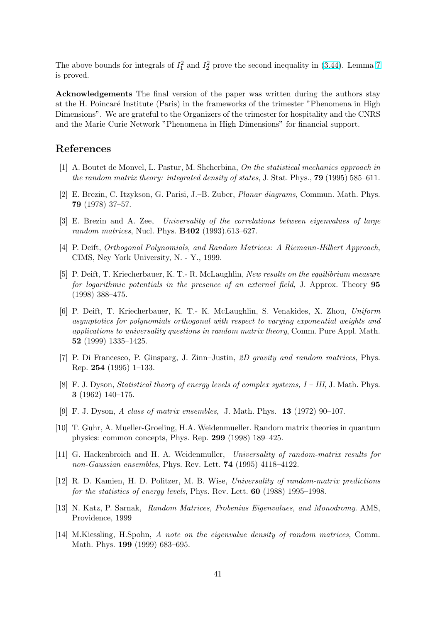<span id="page-40-0"></span>The above bounds for integrals of  $I_1^2$  and  $I_2^2$  prove the second inequality in (3.44). Lemma 7 is proved.

Acknowledgements The final version of the paper was written during the authors stay at the H. Poincaré Institute (Paris) in the frameworks of the trimester "Ph[enome](#page-29-0)na in Hig[h](#page-29-0) Dimensions". We are grateful to the Organizers of the trimester for hospitality and the CNRS and the Marie Curie Network "Phenomena in High Dimensions" for financial support.

# References

- [1] A. Boutet de Monvel, L. Pastur, M. Shcherbina, On the statistical mechanics approach in the random matrix theory: integrated density of states, J. Stat. Phys., **79** (1995) 585–611.
- [2] E. Brezin, C. Itzykson, G. Parisi, J.–B. Zuber, Planar diagrams, Commun. Math. Phys. 79 (1978) 37–57.
- [3] E. Brezin and A. Zee, Universality of the correlations between eigenvalues of large random matrices, Nucl. Phys. B402 (1993).613–627.
- [4] P. Deift, Orthogonal Polynomials, and Random Matrices: A Riemann-Hilbert Approach, CIMS, Ney York University, N. - Y., 1999.
- [5] P. Deift, T. Kriecherbauer, K. T.- R. McLaughlin, New results on the equilibrium measure for logarithmic potentials in the presence of an external field, J. Approx. Theory 95 (1998) 388–475.
- [6] P. Deift, T. Kriecherbauer, K. T.- K. McLaughlin, S. Venakides, X. Zhou, Uniform asymptotics for polynomials orthogonal with respect to varying exponential weights and applications to universality questions in random matrix theory, Comm. Pure Appl. Math. 52 (1999) 1335–1425.
- [7] P. Di Francesco, P. Ginsparg, J. Zinn–Justin, 2D gravity and random matrices, Phys. Rep. 254 (1995) 1–133.
- [8] F. J. Dyson, Statistical theory of energy levels of complex systems, I III, J. Math. Phys. 3 (1962) 140–175.
- [9] F. J. Dyson, A class of matrix ensembles, J. Math. Phys. 13 (1972) 90–107.
- [10] T. Guhr, A. Mueller-Groeling, H.A. Weidenmueller. Random matrix theories in quantum physics: common concepts, Phys. Rep. 299 (1998) 189–425.
- [11] G. Hackenbroich and H. A. Weidenmuller, Universality of random-matrix results for non-Gaussian ensembles, Phys. Rev. Lett. **74** (1995) 4118–4122.
- [12] R. D. Kamien, H. D. Politzer, M. B. Wise, Universality of random-matrix predictions for the statistics of energy levels, Phys. Rev. Lett. **60** (1988) 1995–1998.
- [13] N. Katz, P. Sarnak, Random Matrices, Frobenius Eigenvalues, and Monodromy. AMS, Providence, 1999
- [14] M.Kiessling, H.Spohn, A note on the eigenvalue density of random matrices, Comm. Math. Phys. 199 (1999) 683–695.